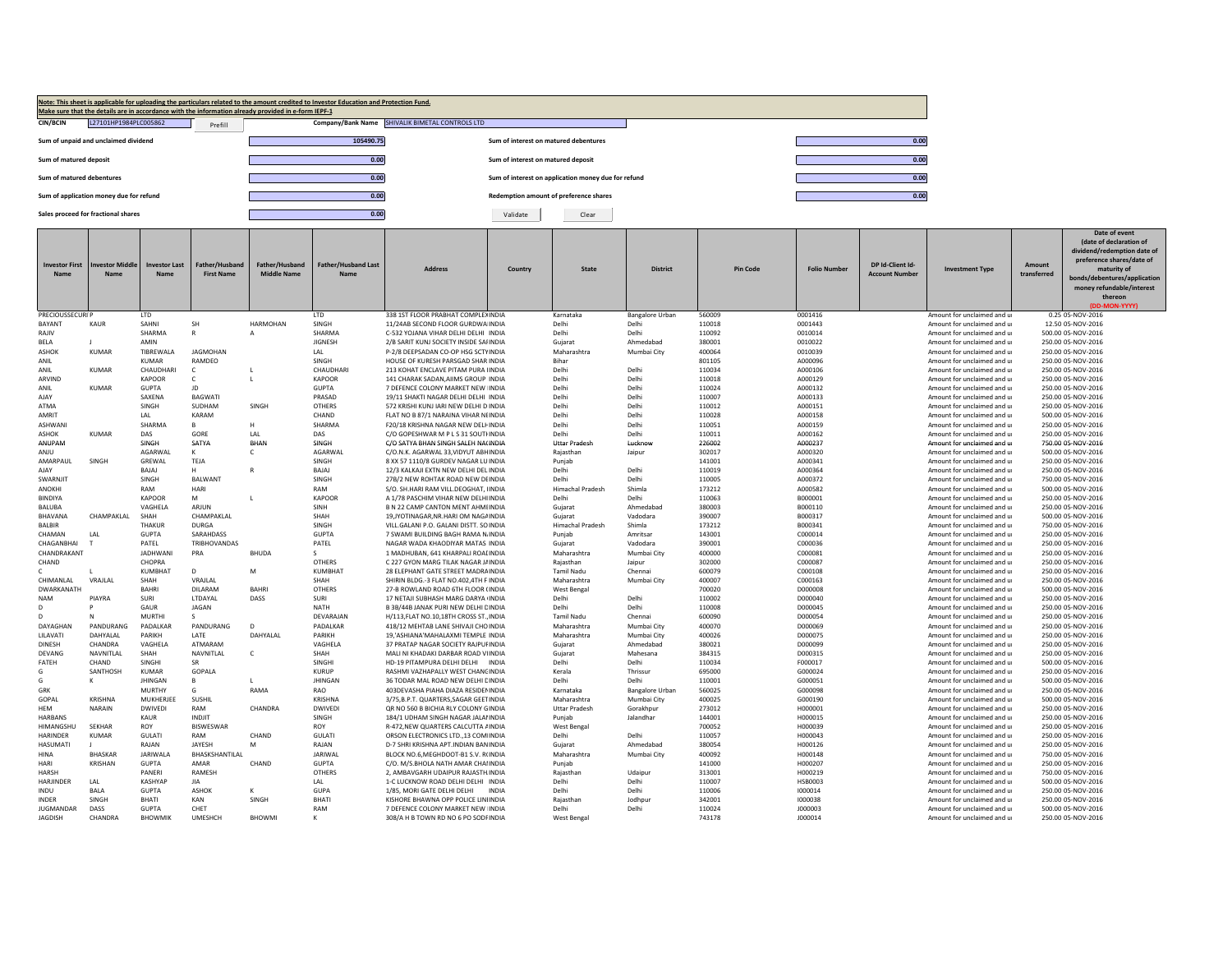|                                      |                                         |                              |                                     | Make sure that the details are in accordance with the information already provided in e-form IEPF-1 | Note: This sheet is applicable for uploading the particulars related to the amount credited to Investor Education and Protection Fund. |                                                                        |                                       |                                                     |                        |                  |                    |                                           |                                                          |                       |                                                                                                                  |
|--------------------------------------|-----------------------------------------|------------------------------|-------------------------------------|-----------------------------------------------------------------------------------------------------|----------------------------------------------------------------------------------------------------------------------------------------|------------------------------------------------------------------------|---------------------------------------|-----------------------------------------------------|------------------------|------------------|--------------------|-------------------------------------------|----------------------------------------------------------|-----------------------|------------------------------------------------------------------------------------------------------------------|
| <b>CIN/BCIN</b>                      | L27101HP1984PLC005862                   |                              | Prefill                             | Company/Bank Name SHIVALIK BIMETAL CONTROLS LTD                                                     |                                                                                                                                        |                                                                        |                                       |                                                     |                        |                  |                    |                                           |                                                          |                       |                                                                                                                  |
|                                      | Sum of unpaid and unclaimed dividend    |                              |                                     |                                                                                                     | 105490.75                                                                                                                              |                                                                        | Sum of interest on matured debentures |                                                     |                        |                  |                    | 0.00                                      |                                                          |                       |                                                                                                                  |
| Sum of matured deposit               |                                         |                              |                                     |                                                                                                     | 0.00                                                                                                                                   |                                                                        | Sum of interest on matured deposit    |                                                     |                        |                  |                    | 0.00                                      |                                                          |                       |                                                                                                                  |
| Sum of matured debentures            |                                         |                              |                                     |                                                                                                     | 0.00                                                                                                                                   |                                                                        |                                       | Sum of interest on application money due for refund |                        |                  |                    | 0.00                                      |                                                          |                       |                                                                                                                  |
|                                      | Sum of application money due for refund |                              |                                     |                                                                                                     | 0.00                                                                                                                                   |                                                                        |                                       | Redemption amount of preference shares              |                        |                  |                    | 0.00                                      |                                                          |                       |                                                                                                                  |
|                                      | Sales proceed for fractional shares     |                              |                                     |                                                                                                     | 0.00                                                                                                                                   |                                                                        | Validate                              | Clear                                               |                        |                  |                    |                                           |                                                          |                       |                                                                                                                  |
|                                      |                                         |                              |                                     |                                                                                                     |                                                                                                                                        |                                                                        |                                       |                                                     |                        |                  |                    |                                           |                                                          |                       | Date of event<br>(date of declaration of<br>dividend/redemption date of                                          |
| <b>Investor First</b><br><b>Name</b> | vestor Midd<br>Name                     | <b>Investor Last</b><br>Name | Father/Husband<br><b>First Name</b> | Father/Husband<br>Middle Name                                                                       | <b>Father/Husband Last</b><br>Name                                                                                                     | <b>Address</b>                                                         | Country                               | State                                               | <b>District</b>        | <b>Pin Code</b>  | <b>Folio Numbe</b> | DP Id-Client Id-<br><b>Account Number</b> | nvestment Type                                           | Amount<br>transferred | preference shares/date of<br>maturity of<br>bonds/debentures/application<br>money refundable/interest<br>thereon |
| <b>PRECIOUSSECURIP</b>               |                                         | <b>ITD</b>                   |                                     |                                                                                                     | <b>ITD</b>                                                                                                                             | 338 1ST FLOOR PRABHAT COMPLEXINDIA                                     |                                       | Karnataka                                           | <b>Bangalore Urban</b> | 560009           | 0001416            |                                           | Amount for unclaimed and u                               |                       | (DD-MON-YYYY)<br>0.25 05-NOV-2016                                                                                |
| BAYANT                               | <b>KAUR</b>                             | SAHNI                        | SH                                  | <b>HARMOHAN</b>                                                                                     | SINGH                                                                                                                                  | 11/24AB SECOND FLOOR GURDWA INDIA                                      |                                       | Delhi                                               | Delhi                  | 110018           | 0001443            |                                           | Amount for unclaimed and u                               |                       | 12.50 05-NOV-2016                                                                                                |
| RAJIV                                |                                         | SHARMA                       |                                     | $\mathsf{A}$                                                                                        | SHARMA                                                                                                                                 | C-532 YOJANA VIHAR DELHI DELHI INDIA                                   |                                       | Delhi                                               | Delhi                  | 110092           | 0010014            |                                           | Amount for unclaimed and u                               |                       | 500.00 05-NOV-2016                                                                                               |
| BELA                                 |                                         | AMIN                         |                                     |                                                                                                     | <b>JIGNESH</b>                                                                                                                         | 2/B SARIT KUNJ SOCIETY INSIDE SAHNDIA                                  |                                       | Gujarat                                             | Ahmedabad              | 380001           | 0010022            |                                           | Amount for unclaimed and u                               |                       | 250.00 05-NOV-2016                                                                                               |
| ASHOK                                | KUMAR                                   | <b>TIBREWALA</b>             | <b>IAGMOHAN</b>                     |                                                                                                     | $\mathsf{L}\Delta\mathsf{L}$                                                                                                           | P-2/8 DEEPSADAN CO-OP HSG SCTYINDIA                                    |                                       | Maharashtra                                         | Mumbai City            | 400064           | 0010039            |                                           | Amount for unclaimed and u                               |                       | 250.00 05-NOV-2016                                                                                               |
| ANII                                 |                                         | KUMAR                        | <b>RAMDEO</b>                       |                                                                                                     | SINGH                                                                                                                                  | HOUSE OF KURESH PARSGAD SHAR INDIA                                     |                                       | <b>Bihar</b>                                        |                        | 801105           | A000096            |                                           | Amount for unclaimed and u                               |                       | 250.00.05-NOV-2016                                                                                               |
| ANIL                                 | <b>KUMAR</b>                            | CHAUDHARI                    | $\mathsf{C}$                        |                                                                                                     | <b>CHAUDHAR</b>                                                                                                                        | 213 KOHAT ENCLAVE PITAM PURA IINDIA                                    |                                       | Delhi                                               | Delh                   | 110034           | A000106            |                                           | Amount for unclaimed and u                               |                       | 250.00 05-NOV-2016                                                                                               |
| ARVIND                               |                                         | KAPOOR                       | c                                   | L                                                                                                   | KAPOOR                                                                                                                                 | 141 CHARAK SADAN, AIIMS GROUP INDIA                                    |                                       | Delhi                                               | Delhi                  | 110018           | A000129            |                                           | Amount for unclaimed and u                               |                       | 250.00 05-NOV-2016                                                                                               |
| ANIL                                 | KUMAR                                   | <b>GUPTA</b>                 | JD                                  |                                                                                                     | GUPTA                                                                                                                                  | 7 DEFENCE COLONY MARKET NEW INDIA                                      |                                       | Delhi                                               | Delhi                  | 110024           | A000132            |                                           | Amount for unclaimed and u                               |                       | 250.00 05-NOV-2016                                                                                               |
| AJAY                                 |                                         | SAXENA                       | <b>BAGWATI</b>                      |                                                                                                     | PRASAD                                                                                                                                 | 19/11 SHAKTI NAGAR DELHI DELHI INDIA                                   |                                       | Delhi                                               | Delhi                  | 110007           | A000133            |                                           | Amount for unclaimed and u                               |                       | 250.00 05-NOV-2016                                                                                               |
| ATMA                                 |                                         | SINGH                        | SUDHAM                              | SINGH                                                                                               | OTHERS                                                                                                                                 | 572 KRISHI KUNJ IARI NEW DELHI D INDIA                                 |                                       | Delhi                                               | Delh                   | 110012           | A000151            |                                           | Amount for unclaimed and u                               |                       | 250.00 05-NOV-2016                                                                                               |
| AMRI1                                |                                         | LAL                          | KARAM                               |                                                                                                     | CHAND                                                                                                                                  | FLAT NO B 87/1 NARAINA VIHAR NEINDIA                                   |                                       | Delhi                                               | Delhi                  | 110028           | A000158            |                                           | Amount for unclaimed and u                               |                       | 500.00 05-NOV-2016                                                                                               |
| ASHWANI                              |                                         | SHARMA                       | R                                   | H                                                                                                   | SHARMA                                                                                                                                 | F20/18 KRISHNA NAGAR NEW DELFINDIA                                     |                                       | Delhi                                               | Delhi                  | 110051           | A000159            |                                           | Amount for unclaimed and u                               |                       | 250.00 05-NOV-2016                                                                                               |
| ASHOK                                | KUMAR                                   | DAS                          | GORE                                | A                                                                                                   | DAS                                                                                                                                    | C/O GOPESHWAR M P LS 31 SOUTHNDIA                                      |                                       | Delhi                                               | Delhi                  | 110011           | A000162            |                                           | Amount for unclaimed and u                               |                       | 250.00 05-NOV-2016                                                                                               |
| ANUPAM                               |                                         | SINGH                        | SATYA                               | BHAN                                                                                                | SINGH                                                                                                                                  | C/O SATYA BHAN SINGH SALEH NA(INDIA                                    |                                       | <b>Uttar Pradesh</b>                                | Lucknow                | 226002           | A000237            |                                           | Amount for unclaimed and u                               |                       | 750.00 05-NOV-2016                                                                                               |
| ANJU                                 |                                         | AGARWAL                      | K                                   | c                                                                                                   | AGARWAL                                                                                                                                | C/O.N.K. AGARWAL 33, VIDYUT ABHINDIA                                   |                                       | Rajasthar                                           | Jaipur                 | 302017           | A000320            |                                           | Amount for unclaimed and u                               |                       | 500.00 05-NOV-2016                                                                                               |
| AMARPAUL                             | SINGH                                   | GREWAL                       | TEJA                                |                                                                                                     | SINGH                                                                                                                                  | 8 XX 57 1110/8 GURDEV NAGAR LU INDIA                                   |                                       | Puniab                                              |                        | 141001           | A000341            |                                           | Amount for unclaimed and u                               |                       | 250.00 05-NOV-2016                                                                                               |
| AIAY                                 |                                         | BAIAI                        | н                                   | R                                                                                                   | BAIAI                                                                                                                                  | 12/3 KAI KAII FXTN NFW DELHI DELINDIA                                  |                                       | Delhi                                               | Delhi                  | 110019           | A000364            |                                           | Amount for unclaimed and u                               |                       | 250.00 05-NOV-2016                                                                                               |
| SWARNJIT                             |                                         | SINGH                        | BALWANT                             |                                                                                                     | SINGH                                                                                                                                  | 27B/2 NEW ROHTAK ROAD NEW DEINDIA                                      |                                       | Delhi                                               | Delh                   | 110005           | A000372            |                                           | Amount for unclaimed and u                               |                       | 750.00 05-NOV-2016                                                                                               |
| ANOKHI                               |                                         | RAM                          | HARI                                |                                                                                                     | RAM                                                                                                                                    | S/O. SH.HARI RAM VILL.DEOGHAT, IINDIA                                  |                                       | Himachal Pradesh                                    | Shimla                 | 173212           | A000582            |                                           | Amount for unclaimed and u                               |                       | 500.00 05-NOV-2016                                                                                               |
| <b>BINDIYA</b>                       |                                         | KAPOOR                       | M                                   | $\mathbf{I}$                                                                                        | <b>KAPOOR</b>                                                                                                                          | A 1/78 PASCHIM VIHAR NEW DELHIINDIA                                    |                                       | Delhi                                               | Delhi                  | 110063           | B000001            |                                           | Amount for unclaimed and u                               |                       | 250.00 05-NOV-2016                                                                                               |
| <b>BALUBA</b>                        |                                         | VAGHELA                      | ARJUN                               |                                                                                                     | SINH                                                                                                                                   | <b>B N 22 CAMP CANTON MENT AHMIINDIA</b>                               |                                       | Guiarat                                             | Ahmedabad              | 380003           | B000110            |                                           | Amount for unclaimed and u                               |                       | 250.00 05-NOV-2016                                                                                               |
| BHAVANA                              | CHAMPAKI AI                             | SHAH                         | CHAMPAKI AI                         |                                                                                                     | SHAH                                                                                                                                   | 19, JYOTINAGAR, NR. HARI OM NAGA INDIA                                 |                                       | Guiarat                                             | Vadodara               | 390007           | B000317            |                                           | Amount for unclaimed and u                               |                       | 500.00 05-NOV-2016                                                                                               |
| <b>BALBIR</b>                        |                                         | <b>THAKUR</b>                | <b>DURGA</b>                        |                                                                                                     | SINGH                                                                                                                                  | VILL GALANI P.O. GALANI DISTT. SO INDIA                                |                                       | <b>Himachal Pradesh</b>                             | Shimla                 | 173212           | B000341            |                                           | Amount for unclaimed and u                               |                       | 750.00 05-NOV-2016                                                                                               |
| CHAMAN                               | LAL                                     | <b>GUPTA</b>                 | SARAHDASS                           |                                                                                                     | <b>GUPTA</b>                                                                                                                           | 7 SWAMI BUILDING BAGH RAMA N.INDIA                                     |                                       | Puniab                                              | Amritsar               | 143001           | C000014            |                                           | Amount for unclaimed and u                               |                       | 250.00 05-NOV-2016                                                                                               |
| CHAGANBHAI                           |                                         | PATFI                        | <b>TRIBHOVANDAS</b>                 |                                                                                                     | PATEL                                                                                                                                  | NAGAR WADA KHAODIYAR MATAS INDIA                                       |                                       | Guiarat                                             | Vadodara               | 390001           | C000036            |                                           | Amount for unclaimed and u                               |                       | 250.00 05-NOV-2016                                                                                               |
| CHANDRAKANT                          |                                         | <b>JADHWANI</b>              | PRA                                 | <b>BHUDA</b>                                                                                        | -S                                                                                                                                     | 1 MADHUBAN, 641 KHARPALI ROALINDIA                                     |                                       | Maharashtra                                         | Mumbai City            | 400000           | C000081            |                                           | Amount for unclaimed and u                               |                       | 250.00 05-NOV-2016                                                                                               |
| CHAND                                |                                         | CHOPRA                       |                                     |                                                                                                     | <b>OTHERS</b>                                                                                                                          | C 227 GYON MARG TILAK NAGAR J/INDIA                                    |                                       | Rajasthan                                           | Jaipur                 | 302000           | C000087            |                                           | Amount for unclaimed and u                               |                       | 250.00 05-NOV-2016                                                                                               |
|                                      |                                         | KUMBHAT                      | $\Gamma$                            | M                                                                                                   | KUMBHAT                                                                                                                                | 28 ELEPHANT GATE STREET MADRAINDIA                                     |                                       | <b>Tamil Nadu</b>                                   | Chennai                | 600079           | C000108            |                                           | Amount for unclaimed and u                               |                       | 250.00 05-NOV-2016                                                                                               |
| CHIMANI AI                           | VRAJLAL                                 | SHAH                         | <b>VRAILAL</b>                      |                                                                                                     | SHAH                                                                                                                                   | SHIRIN BLDG.-3 FLAT NO.402.4TH F INDIA                                 |                                       | Maharashtra                                         | Mumbai City            | 400007           | C000163            |                                           | Amount for unclaimed and u                               |                       | 250.00 05-NOV-2016                                                                                               |
| <b>DWARKANATH</b>                    |                                         | BAHRI                        | <b>DII ARAM</b>                     | BAHRI                                                                                               | <b>OTHERS</b>                                                                                                                          | 27-B ROWLAND ROAD 6TH FLOOR (INDIA                                     |                                       | <b>West Bengal</b>                                  |                        | 700020           | D000008            |                                           | Amount for unclaimed and u                               |                       | 500.00 05-NOV-2016                                                                                               |
| <b>NAM</b>                           | PIAYRA                                  | SURI                         | LTDAYAL                             | DASS                                                                                                | SURI                                                                                                                                   | 17 NETAJI SUBHASH MARG DARYA INDIA                                     |                                       | Delhi                                               | Delh                   | 110002           | D000040            |                                           | Amount for unclaimed and u                               |                       | 250.00 05-NOV-2016                                                                                               |
| $\sqrt{2}$                           |                                         | GAUR                         | JAGAN                               |                                                                                                     | <b>NATH</b>                                                                                                                            | B 3B/44B JANAK PURI NEW DELHI CINDIA                                   |                                       | Delhi                                               | Delhi                  | 110008           | D000045            |                                           | Amount for unclaimed and u                               |                       | 250.00 05-NOV-2016                                                                                               |
|                                      |                                         | MURTHI                       |                                     |                                                                                                     | DEVARAJAN                                                                                                                              | H/113.FLAT NO.10.18TH CROSS ST., INDIA                                 |                                       | Tamil Nadu                                          | Chennai                | 600090           | D000054            |                                           | Amount for unclaimed and u                               |                       | 250.00 05-NOV-2016                                                                                               |
| DAYAGHAN                             | PANDURANG                               | PADALKAR                     | PANDURANG                           | $\mathsf{D}$                                                                                        | PADALKAR                                                                                                                               | 418/12 MEHTAB LANE SHIVAJI CHO INDIA                                   |                                       | Maharashtra                                         | Mumbai City            | 400070           | D000069            |                                           | Amount for unclaimed and u                               |                       | 250.00 05-NOV-2016                                                                                               |
| LILAVATI                             | DAHYALAL                                | PARIKH                       | LATE                                | DAHYALAL                                                                                            | PARIKH                                                                                                                                 | 19.'ASHIANA'MAHALAXMI TEMPLE INDIA                                     |                                       | Maharashtra                                         | Mumbai City            | 400026           | D000075            |                                           | Amount for unclaimed and u                               |                       | 250.00 05-NOV-2016                                                                                               |
| DINESH                               | CHANDRA                                 | VAGHELA                      | ATMARAM                             |                                                                                                     | VAGHELA                                                                                                                                | 37 PRATAP NAGAR SOCIETY RAJPUFINDIA                                    |                                       | Gujarat                                             | Ahmedabad              | 380021           | D000099            |                                           | Amount for unclaimed and u                               |                       | 250.00 05-NOV-2016                                                                                               |
| DEVANG                               | NAVNITI AI                              | SHAH                         | NAVNITI AI<br><b>SR</b>             | $\mathsf{C}$                                                                                        | SHAH                                                                                                                                   | MAI I NI KHADAKI DARBAR ROAD VIINDIA                                   |                                       | Guiarat                                             | Mahesana               | 384315           | D000315            |                                           | Amount for unclaimed and u                               |                       | 250.00 05-NOV-2016                                                                                               |
| FATEH                                | CHAND<br>SANTHOSH                       | SINGHI<br><b>KUMAR</b>       | GOPALA                              |                                                                                                     | SINGHI<br><b>KURUP</b>                                                                                                                 | HD-19 PITAMPURA DELHI DELHI INDIA<br>RASHMI VAZHAPALLY WEST CHANCINDIA |                                       | Delhi<br>Kerala                                     | Delhi<br>Thrissur      | 110034<br>695000 | F000017<br>G000024 |                                           | Amount for unclaimed and u<br>Amount for unclaimed and u |                       | 500.00 05-NOV-2016<br>250.00 05-NOV-2016                                                                         |
| G                                    |                                         | <b>JHINGAN</b>               | <b>B</b>                            |                                                                                                     | <b>IHINGAN</b>                                                                                                                         | 36 TODAR MAL ROAD NEW DELHI CINDIA                                     |                                       | Delhi                                               | Delhi                  | 110001           | G000051            |                                           | Amount for unclaimed and u                               |                       | 500.00 05-NOV-2016                                                                                               |
| GRK                                  |                                         | <b>MURTHY</b>                | G                                   | RAMA                                                                                                | <b>RAO</b>                                                                                                                             | 403DEVASHA PIAHA DIAZA RESIDENINDIA                                    |                                       | Karnataka                                           | <b>Bangalore Urban</b> | 560025           | G000098            |                                           | Amount for unclaimed and u                               |                       | 250.00 05-NOV-2016                                                                                               |
| GOPAL                                | KRISHNA                                 | MUKHERJEE                    | SUSHIL                              |                                                                                                     | KRISHNA                                                                                                                                | 3/75, B.P.T. QUARTERS, SAGAR GEETINDIA                                 |                                       | Maharashtra                                         | Mumbai City            | 400025           | G000190            |                                           | Amount for unclaimed and u                               |                       | 500.00 05-NOV-2016                                                                                               |
| <b>HEM</b>                           | NARAIN                                  | <b>DWIVEDI</b>               | RAM                                 | CHANDRA                                                                                             | <b>DWIVEDI</b>                                                                                                                         | OR NO 560 B BICHIA RLY COLONY GINDIA                                   |                                       | <b>Uttar Pradesh</b>                                | Gorakhour              | 273012           | H000001            |                                           | Amount for unclaimed and u                               |                       | 250.00 05-NOV-2016                                                                                               |
| <b>HARBANS</b>                       |                                         | <b>KAUR</b>                  | <b>INDIIT</b>                       |                                                                                                     | SINGH                                                                                                                                  | 184/1 UDHAM SINGH NAGAR JALANINDIA                                     |                                       | Punjab                                              | Jalandhar              | 144001           | H000015            |                                           | Amount for unclaimed and u                               |                       | 250.00 05-NOV-2016                                                                                               |
| HIMANGSHU                            | <b>SFKHAR</b>                           | <b>ROY</b>                   | <b>BISWESWAR</b>                    |                                                                                                     | <b>ROY</b>                                                                                                                             | R-472.NEW QUARTERS CALCUTTA / INDIA                                    |                                       | <b>West Bengal</b>                                  |                        | 700052           | H000039            |                                           | Amount for unclaimed and u                               |                       | 250.00 05-NOV-2016                                                                                               |
| <b>HARINDER</b>                      | KUMAR                                   | GULATI                       | RAM                                 | CHAND                                                                                               | GULATI                                                                                                                                 | ORSON ELECTRONICS LTD.,13 COM/INDIA                                    |                                       | Delhi                                               | Delhi                  | 110057           | H000043            |                                           | Amount for unclaimed and u                               |                       | 250.00 05-NOV-2016                                                                                               |
| <b>HASUMATI</b>                      |                                         | RAJAN                        | JAYESH                              | M                                                                                                   | RAJAN                                                                                                                                  | D-7 SHRI KRISHNA APT.INDIAN BANINDIA                                   |                                       | Gujarat                                             | Ahmedabad              | 380054           | H000126            |                                           | Amount for unclaimed and u                               |                       | 250.00 05-NOV-2016                                                                                               |
| HINA                                 | BHASKAR                                 | JARIWALA                     | BHASKSHANTILAL                      |                                                                                                     | <b>JARIWAL</b>                                                                                                                         | BLOCK NO.6, MEGHDOOT-B1 S.V. R(INDIA                                   |                                       | Maharashtra                                         | Mumbai City            | 400092           | H000148            |                                           | Amount for unclaimed and u                               |                       | 750.00 05-NOV-2016                                                                                               |
| HARI                                 | KRISHAN                                 | <b>GUPTA</b>                 | AMAR                                | CHAND                                                                                               | GUPTA                                                                                                                                  | C/O. M/S.BHOLA NATH AMAR CHALINDIA                                     |                                       | Puniah                                              |                        | 141000           | H000207            |                                           | Amount for unclaimed and u                               |                       | 250.00 05-NOV-2016                                                                                               |
| HARSH                                |                                         | PANERI                       | RAMESH                              |                                                                                                     | <b>OTHERS</b>                                                                                                                          | 2, AMBAVGARH UDAIPUR RAJASTH INDIA                                     |                                       | Raiasthan                                           | Udaipur                | 313001           | H000219            |                                           | Amount for unclaimed and u                               |                       | 750.00 05-NOV-2016                                                                                               |
| HARJINDER                            | LAL.                                    | <b>KASHYAP</b>               | <b>JIA</b>                          |                                                                                                     | LAL                                                                                                                                    | 1-C LUCKNOW ROAD DELHI DELHI INDIA                                     |                                       | Delhi                                               | Delhi                  | 110007           | <b>HSB0003</b>     |                                           | Amount for unclaimed and u                               |                       | 500.00 05-NOV-2016                                                                                               |
| <b>INDU</b>                          | BALA                                    | <b>GUPTA</b>                 | ASHOK                               |                                                                                                     | GUPA                                                                                                                                   | 1/85, MORI GATE DELHI DELHI                                            | <b>INDIA</b>                          | Delhi                                               | Delhi                  | 110006           | 1000014            |                                           | Amount for unclaimed and u                               |                       | 250.00 05-NOV-2016                                                                                               |
| <b>INDER</b>                         | SINGH                                   | <b>BHATI</b>                 | KAN                                 | SINGH                                                                                               | <b>BHAT</b>                                                                                                                            | KISHORE BHAWNA OPP POLICE LINIINDIA                                    |                                       | Raiasthan                                           | lodhnur                | 342001           | 1000038            |                                           | Amount for unclaimed and u                               |                       | 250.00 05-NOV-2016                                                                                               |
| <b>JUGMANDAR</b>                     | DASS                                    | GUPTA                        | CHET                                |                                                                                                     | RAM                                                                                                                                    | 7 DEFENCE COLONY MARKET NEW IINDIA                                     |                                       | Delhi                                               | Delhi                  | 110024           | J000003            |                                           | Amount for unclaimed and u                               |                       | 500.00 05-NOV-2016                                                                                               |
| JAGDISH                              | CHANDRA                                 | <b>BHOWMIK</b>               | <b>UMESHCH</b>                      | <b>BHOWM</b>                                                                                        |                                                                                                                                        | 308/A H B TOWN RD NO 6 PO SODFINDIA                                    |                                       | West Benga                                          |                        | 743178           | 1000014            |                                           | Amount for unclaimed and u                               |                       | 250.00 05-NOV-2016                                                                                               |
|                                      |                                         |                              |                                     |                                                                                                     |                                                                                                                                        |                                                                        |                                       |                                                     |                        |                  |                    |                                           |                                                          |                       |                                                                                                                  |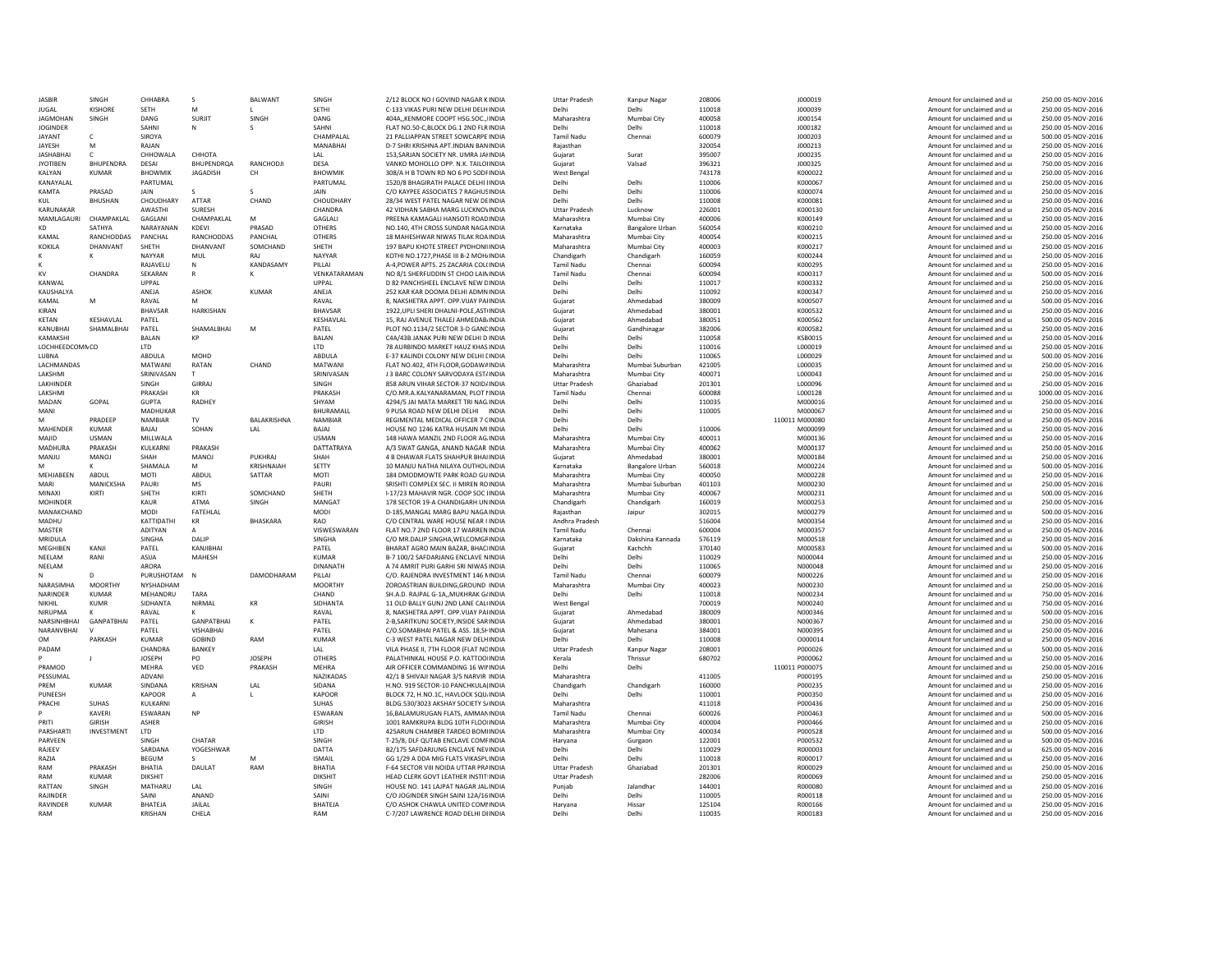| <b>JASBIF</b>    | SINGH            | CHHABRA                          | -S                      | BALWANT         | SINGH                  | 2/12 BLOCK NO I GOVIND NAGAR KINDIA                                    | <b>Uttar Pradesh</b> | Kanpur Nagar           | 208006           | J000019            | Amount for unclaimed and u                               | 250.00 05-NOV-2016                       |
|------------------|------------------|----------------------------------|-------------------------|-----------------|------------------------|------------------------------------------------------------------------|----------------------|------------------------|------------------|--------------------|----------------------------------------------------------|------------------------------------------|
| <b>JUGAL</b>     | <b>KISHORI</b>   | <b>SETH</b>                      | M                       |                 | <b>SETHI</b>           | C-133 VIKAS PURI NEW DELHI DELHINDIA                                   | Delhi                | Delhi                  | 110018           | J000039            | Amount for unclaimed and u                               | 250.00 05-NOV-2016                       |
| <b>JAGMOHAN</b>  | SINGH            | DANG                             | <b>SURJIT</b>           | SINGH           | DANG                   | 404A,, KENMORE COOPT HSG.SOC., IINDIA                                  | Maharashtra          | Mumbai City            | 400058           | J000154            | Amount for unclaimed and u                               | 250.00 05-NOV-2016                       |
| <b>JOGINDER</b>  |                  | SAHNI                            |                         |                 | SAHNI                  | FLAT NO.50-C,BLOCK DG.1 2ND FLRINDIA                                   | Delhi                | Delhi                  | 110018           | J000182            | Amount for unclaimed and u                               | 250.00 05-NOV-2016                       |
| <b>JAYANT</b>    |                  | SIROYA                           |                         |                 | CHAMPALAL              | 21 PALLIAPPAN STREET SOWCARPE INDIA                                    | <b>Tamil Nadu</b>    | Chenna                 | 600079           | J000203            | Amount for unclaimed and u                               | 500.00 05-NOV-2016                       |
| JAYESH           | M                | RAJAN                            |                         |                 | MANABHAI               | D-7 SHRI KRISHNA APT.INDIAN BANINDIA                                   | Rajasthan            |                        | 320054           | J000213            | Amount for unclaimed and u                               | 250.00 05-NOV-2016                       |
| <b>IASHARHAI</b> | C.               | CHHOWALA                         | СННОТА                  |                 | 1 AI                   | 153. SARIAN SOCIETY NR. UMRA JAHNDIA                                   | Guiarat              | Surat                  | 395007           | 1000235            | Amount for unclaimed and u                               | 250.00 05-NOV-2016                       |
| <b>JYOTIBEN</b>  | <b>BHUPENDRA</b> | DESAI                            | <b>BHUPENDRQA</b>       | RANCHODJI       | DESA                   | VANKO MOHOLLO OPP. N.K. TAILOIINDIA                                    | Guiarat              | Valsad                 | 396321           | J000325            | Amount for unclaimed and u                               | 750.00 05-NOV-2016                       |
| KALYAN           | <b>KUMAR</b>     | <b>BHOWMIK</b>                   | <b>JAGADISH</b>         | CH              | <b>BHOWMIK</b>         | 308/A H B TOWN RD NO 6 PO SODFINDIA                                    | <b>West Bengal</b>   |                        | 743178           | K000022            | Amount for unclaimed and u                               | 250.00 05-NOV-2016                       |
| KANAYALAL        |                  | PARTUMAL                         |                         |                 | PARTUMAL               | 1520/8 BHAGIRATH PALACE DELHI IINDIA                                   | Delh                 | Delhi                  | 110006           | K000067            | Amount for unclaimed and u                               | 250.00 05-NOV-2016                       |
| <b>KAMTA</b>     | PRASAD           | <b>JAIN</b>                      |                         |                 | <b>JAIN</b>            | C/O KAYPEE ASSOCIATES 7 RAGHUSINDIA                                    | Delh                 | Delhi                  | 110006           | K000074            | Amount for unclaimed and u                               | 250.00 05-NOV-2016                       |
| KUL              | <b>BHUSHAN</b>   | CHOUDHARY                        | ATTAR                   | CHAND           | CHOUDHARY              | 28/34 WEST PATEL NAGAR NEW DEINDIA                                     | Delh                 | Delhi                  | 110008           | K000081            | Amount for unclaimed and u                               | 250.00 05-NOV-2016                       |
| KARUNAKAR        |                  | <b>AWASTHI</b>                   | SURESH                  |                 | CHANDRA                | 42 VIDHAN SABHA MARG LUCKNOVINDIA                                      | <b>Uttar Pradesh</b> | Lucknow                | 226001           | K000130            | Amount for unclaimed and u                               | 250.00 05-NOV-2016                       |
| MAMLAGAURI       | CHAMPAKLAL       | GAGLANI                          | CHAMPAKLAL              | M               | GAGLALI                | PREENA KAMAGALI HANSOTI ROADINDIA                                      | Maharashtra          | Mumbai City            | 400006           | K000149            | Amount for unclaimed and u                               | 250.00 05-NOV-2016                       |
| KD               | SATHYA           | NARAYANAN                        | <b>KDFVI</b>            | PRASAD          | <b>OTHERS</b>          | NO.140, 4TH CROSS SUNDAR NAGA INDIA                                    | Karnataka            | <b>Bangalore Urban</b> | 560054           | K000210            | Amount for unclaimed and u                               | 250.00 05-NOV-2016                       |
| KAMAI            | RANCHODDAS       | PANCHAL                          | RANCHODDAS              | PANCHAL         | OTHERS                 | 18 MAHESHWAR NIWAS TILAK ROAINDIA                                      | Maharashtra          | Mumbai City            | 400054           | K000215            | Amount for unclaimed and u                               | 250.00 05-NOV-2016                       |
| KOKILA           | DHANVANT         | SHFTH                            | <b>DHANVANT</b>         | SOMCHAND        | SHFTH                  | 197 BAPU KHOTE STREET PYDHONI INDIA                                    | Maharashtra          | Mumbai City            | 400003           | K000217            | Amount for unclaimed and u                               | 250.00 05-NOV-2016                       |
|                  |                  | NAYYAR                           | MUL                     | RAJ             | NAYYAR                 | KOTHI NO.1727.PHASE III B-2 MOH/INDIA                                  | Chandigarh           | Chandigarh             | 160059           | K000244            | Amount for unclaimed and u                               | 250.00 05-NOV-2016                       |
|                  |                  | RAJAVELU                         | N                       | KANDASAMY       | PILLAI                 | A-4, POWER APTS. 25 ZACARIA COL(INDIA                                  | <b>Tamil Nadu</b>    | Chennai                | 600094           | K000295            | Amount for unclaimed and u                               | 250.00 05-NOV-2016                       |
| KV               | CHANDRA          | SEKARAN                          | R                       | ĸ               | VENKATARAMAN           | NO 8/1 SHERFUDDIN ST CHOO LAININDIA                                    | Tamil Nadu           | Chennai                | 600094           | K000317            | Amount for unclaimed and u                               | 500.00 05-NOV-2016                       |
| KANWAI           |                  | <b>UPPAL</b>                     |                         |                 | LIPPAI                 | D 82 PANCHSHEEL ENCLAVE NEW CINDIA                                     | Delhi                | Delhi                  | 110017           | K000332            | Amount for unclaimed and u                               | 250.00 05-NOV-2016                       |
| KAUSHALYA        |                  | ANEJA                            | ASHOK                   | KUMAR           | ANEJA                  | 252 KAR KAR DOOMA DELHI ADMNINDIA                                      | Delhi                | Delhi                  | 110092           | K000347            | Amount for unclaimed and u                               | 250.00 05-NOV-2016                       |
| KAMAI            |                  | RAVAI                            |                         |                 | RAVAI                  | 8. NAKSHETRA APPT. OPP.VIJAY PAHNDIA                                   | Guiarat              | Ahmedabac              | 380009           | K000507            | Amount for unclaimed and u                               | 500.00 05-NOV-2016                       |
| <b>KIRAN</b>     |                  | <b>BHAVSAF</b>                   | HARKISHAN               |                 | <b>BHAVSA</b>          | 1922, UPLI SHERI DHALNI-POLE, AST INDIA                                | Gujarat              | Ahmedabad              | 380001           | K000532            | Amount for unclaimed and u                               | 250.00 05-NOV-2016                       |
| <b>KFTAN</b>     | <b>KFSHAVLAL</b> | PATEL                            |                         |                 | <b>KFSHAVI AI</b>      | 15. RAJ AVENUE THALEJ AHMEDAB INDIA                                    | Gujarat              | Ahmedabad              | 380051           | K000562            | Amount for unclaimed and u                               | 500.00 05-NOV-2016                       |
| KANUBHAI         | SHAMALBHAI       | PATEL                            | SHAMALBHAI              | M               | PATFI                  | PLOT NO.1134/2 SECTOR 3-D GANCINDIA                                    | Gujarat              | Gandhinagar            | 382006           | K000582            | Amount for unclaimed and u                               | 250.00 05-NOV-2016                       |
| KAMAKSHI         |                  | <b>BAI AN</b>                    | KP                      |                 | <b>BAI AN</b>          | C4A/43B JANAK PURI NEW DELHI D INDIA                                   | Delhi                | Delhi                  | 110058           | <b>KSB0015</b>     | Amount for unclaimed and u                               | 250.00 05-NOV-2016                       |
| LOCHHEEDCOMNCC   |                  | LTD                              |                         |                 | LTD                    | 78 AURBINDO MARKET HAUZ KHAS INDIA                                     | Delh                 | Delhi                  | 110016           | L000019            | Amount for unclaimed and u                               | 250.00 05-NOV-2016                       |
| LUBNA            |                  | ABDULA                           | MOHD                    |                 | ABDULA                 | E-37 KALINDI COLONY NEW DELHI [INDIA                                   | Delhi                | Delhi                  | 110065           | L000029            | Amount for unclaimed and u                               | 500.00 05-NOV-2016                       |
| LACHMANDAS       |                  | MATWANI                          | RATAN                   | CHAND           | <b>MATWAN</b>          | FLAT NO.402, 4TH FLOOR, GODAWAINDIA                                    | Maharashtra          | Mumbai Suburban        | 421005           | L000035            | Amount for unclaimed and u                               | 250.00 05-NOV-2016                       |
| LAKSHMI          |                  | SRINIVASAN                       |                         |                 | SRINIVASAN             | J 3 BARC COLONY SARVODAYA EST/INDIA                                    | Maharashtra          | Mumbai City            | 400071           | L000043            | Amount for unclaimed and u                               | 250.00 05-NOV-2016                       |
| LAKHINDER        |                  | SINGH                            | GIRRAJ                  |                 | SINGH                  | 858 ARUN VIHAR SECTOR-37 NOID/INDIA                                    | <b>Uttar Pradesh</b> | Ghaziabad              | 201301           | L000096            | Amount for unclaimed and u                               | 250.00 05-NOV-2016                       |
| LAKSHM           |                  | PRAKASH                          | KR                      |                 | PRAKASH                | C/O.MR.A.KALYANARAMAN, PLOT IINDIA                                     | <b>Tamil Nadu</b>    | Chenna                 | 600088           | L000128            | Amount for unclaimed and u                               | 1000.00 05-NOV-2016                      |
| MADAN            | GOPAL            | <b>GUPTA</b>                     | <b>RADHEY</b>           |                 | SHYAM                  | 4294/5 JAI MATA MARKET TRI NAG INDIA                                   | Delh                 | Delhi                  | 110035           | M000016            | Amount for unclaimed and u                               | 250.00 05-NOV-2016                       |
| MANI             |                  | MADHUKAR                         |                         |                 | BHURAMALL              | 9 PUSA ROAD NEW DELHI DELHI INDIA                                      | Delh                 | Delhi                  | 110005           | M000067            | Amount for unclaimed and u                               | 250.00 05-NOV-2016                       |
| M                | PRADFFP          | <b>NAMBIAR</b>                   | TV                      | BALAKRISHNA     | NAMBIAR                | REGIMENTAL MEDICAL OFFICER 7 CINDIA                                    | Delh                 | Delhi                  |                  | 110011 M000080     | Amount for unclaimed and u                               | 250.00 05-NOV-2016                       |
| MAHENDER         | <b>KUMAR</b>     | BAJAJ                            | SOHAN                   | LAL             | BAJAJ                  | HOUSE NO 1246 KATRA HUSAIN MIINDIA                                     | Delh                 | Delhi                  | 110006           | M000099            | Amount for unclaimed and u                               | 250.00 05-NOV-2016                       |
| MAJID            | <b>USMAN</b>     | MILLWALA                         |                         |                 | <b>USMAN</b>           | 148 HAWA MANZIL 2ND FLOOR AG. INDIA                                    | Maharashtra          | Mumbai City            | 400011           | M000136            | Amount for unclaimed and u                               | 250.00 05-NOV-2016                       |
| <b>MADHURA</b>   | PRAKASH          | KULKARNI                         | PRAKASH                 |                 | DATTATRAYA             | A/3 SWAT GANGA, ANAND NAGAR INDIA                                      | Maharashtra          | Mumbai City            | 400062           | M000137            | Amount for unclaimed and u                               | 250.00 05-NOV-2016                       |
| MANIU            | MANOI            | SHAH                             | <b>MANOI</b>            | PUKHRA          | SHAH                   | 4 B DHAWAR FLATS SHAHPUR BHAUNDIA                                      | Guiarat              | Ahmedabad              | 380001           | M000184            | Amount for unclaimed and u                               | 250.00 05-NOV-2016                       |
|                  | ĸ                | SHAMALA                          | M                       | KRISHNAIAH      | SETTY                  | 10 MANJU NATHA NILAYA OUTHOL INDIA                                     | Karnataka            | <b>Bangalore Urban</b> | 560018           | M000224            | Amount for unclaimed and u                               | 500.00 05-NOV-2016                       |
| MEHIARFEN        | <b>ABDUI</b>     | MOTI                             | ABDUL                   | SATTAR          | MOTI                   | 184 DMODMOWTF PARK ROAD GUINDIA                                        | Maharashtra          | Mumbai City            | 400050           | M000228            | Amount for unclaimed and u                               | 250.00 05-NOV-2016                       |
| MARI             | MANICKSHA        | PAURI                            | <b>MS</b>               |                 | PAURI                  | SRISHTI COMPLEX SEC. II MIREN ROINDIA                                  | Maharashtra          | Mumbai Suburban        | 401103           | M000230            | Amount for unclaimed and u                               | 250.00 05-NOV-2016                       |
| MINAXI           | KIRTI            | SHETH                            | KIRTI                   | SOMCHAND        | SHETH                  | I-17/23 MAHAVIR NGR, COOP SOC IINDIA                                   | Maharashtra          | Mumbai City            | 400067           | M000231            | Amount for unclaimed and u                               | 500.00 05-NOV-2016                       |
| <b>MOHINDER</b>  |                  | KAUR                             | ATMA                    | SINGH           | MANGA1                 | 178 SECTOR 19-A CHANDIGARH UNINDIA                                     | Chandigarh           | Chandigarh             | 160019           | M000253            | Amount for unclaimed and u                               | 250.00 05-NOV-2016                       |
| MANAKCHAND       |                  | MODI                             | FATEHLAL                |                 | MODI                   | D-185, MANGAL MARG BAPU NAGA INDIA                                     | Raiasthan            | Jaipur                 | 302015           | M000279            | Amount for unclaimed and u                               | 500.00 05-NOV-2016                       |
| MADHU            |                  | KATTIDATHI                       | KR                      | <b>BHASKARA</b> | <b>RAO</b>             | C/O CENTRAL WARE HOUSE NEAR I INDIA                                    | Andhra Pradesh       |                        | 516004           | M000354            | Amount for unclaimed and u                               | 250.00 05-NOV-2016                       |
| MASTER           |                  | <b>ADITYAN</b>                   |                         |                 | VISWESWARAN            | FLAT NO.7 2ND FLOOR 17 WARREN INDIA                                    | <b>Tamil Nadu</b>    | Chenna                 | 600004           | M000357            | Amount for unclaimed and u                               | 250.00 05-NOV-2016                       |
| <b>MRIDULA</b>   |                  | <b>SINGHA</b>                    | DAIIP                   |                 | <b>SINGHA</b>          | C/O MR.DALIP SINGHA.WELCOMGFINDIA                                      | Karnataka            | Dakshina Kannada       | 576119           | M000518            | Amount for unclaimed and u                               | 250.00 05-NOV-2016                       |
| <b>MFGHIRFN</b>  | KANII            | PATFI                            | KANJIBHAI               |                 | PATFI                  | BHARAT AGRO MAIN BAZAR, BHAC INDIA                                     | Guiarat              | Kachchh                | 370140           | M000583            | Amount for unclaimed and u                               | 500.00 05-NOV-2016                       |
| NEELAM           | RANI             | ASIIA                            | MAHESH                  |                 | <b>KUMAF</b>           | B-7 100/2 SAFDARJANG ENCLAVE NINDIA                                    | Delhi                | Delhi                  | 110029           | N000044            | Amount for unclaimed and u                               | 250.00 05-NOV-2016                       |
| NEELAM           |                  | ARORA                            |                         |                 | <b>DINANATH</b>        | A 74 AMRIT PURI GARHI SRI NIWAS INDIA                                  | Delhi                | Delhi                  | 110065           | N000048            | Amount for unclaimed and u                               | 250.00 05-NOV-2016                       |
|                  | D.               | PURUSHOTAM                       | <b>N</b>                | DAMODHARAM      | PILLAI                 | C/O. RAJENDRA INVESTMENT 146 NINDIA                                    | <b>Tamil Nadu</b>    | Chenna                 | 600079           | N000226            | Amount for unclaimed and u                               | 250.00 05-NOV-2016                       |
| NARASIMHA        | <b>MOORTHY</b>   | NYSHADHAM                        |                         |                 | <b>MOORTHY</b>         | ZOROASTRIAN BUILDING GROUND INDIA                                      | Maharashtra          | Mumbai City            | 400023           | N000230            | Amount for unclaimed and u                               | 250.00 05-NOV-2016                       |
| <b>NARINDER</b>  | KUMAR            | MFHANDRU                         | TARA                    |                 | CHAND                  | SH.A.D. RAIPAL G-1A. MUKHRAK G/INDIA                                   | Delhi                | Delhi                  | 110018           | N000234            | Amount for unclaimed and u                               | 750.00 05-NOV-2016                       |
| NIKHII           | KUMR             | SIDHANTA                         | <b>NIRMAI</b>           | KR              | SIDHANTA               | 11 OLD BALLY GUNJ 2ND LANE CAL(INDIA                                   | West Benga           |                        | 700019           | N000240            | Amount for unclaimed and u                               | 750.00 05-NOV-2016                       |
| <b>NIRUPMA</b>   |                  | RAVAL                            |                         |                 | RAVAL                  | 8. NAKSHETRA APPT, OPP VIJAY PAHNDIA                                   | Gujarat              | Ahmedabad              | 380009           | N000346            | Amount for unclaimed and u                               | 500.00 05-NOV-2016                       |
| NARSINHBHAI      | GANPATBHAI       | PATEL                            | GANPATBHAI              | К               | PATEL                  | 2-B, SARITKUNJ SOCIETY, INSIDE SARINDIA                                | Gujarat              | Ahmedabad              | 380001           | N000367            | Amount for unclaimed and u                               | 250.00 05-NOV-2016                       |
| NARANVBHAI       |                  | PATFI                            | <b>VISHABHAI</b>        |                 | PATFI                  | C/O.SOMABHAI PATEL & ASS. 18,SHINDIA                                   | Guiarat              | Mahesana               | 384001           | N000395            | Amount for unclaimed and u                               | 250.00 05-NOV-2016                       |
| <b>OM</b>        | PARKASH          | <b>KUMAR</b>                     | <b>GOBIND</b>           | RAM             | <b>KUMAF</b>           | C-3 WEST PATEL NAGAR NEW DELHINDIA                                     | Delhi                | Delhi                  | 110008           | 0000014            | Amount for unclaimed and u                               | 250.00 05-NOV-2016                       |
| PADAM            |                  | CHANDRA                          | BANKEY                  |                 | I AI                   | VILA PHASE II, 7TH FLOOR (FLAT NCINDIA                                 | <b>Uttar Pradesh</b> | Kanpur Nagar           | 208001           | P000026            | Amount for unclaimed and u                               | 500.00 05-NOV-2016                       |
|                  |                  | <b>JOSEPH</b>                    | PO                      | <b>JOSEPH</b>   | OTHERS                 | PALATHINKAL HOUSE P.O. KATTOOINDIA                                     | Kerala               | Thrissu                | 680702           | P000062            | Amount for unclaimed and u                               | 250.00 05-NOV-2016                       |
| PRAMOD           |                  | MEHRA                            | VED                     | PRAKASH         | MFHRA                  | AIR OFFICER COMMANDING 16 WILINDIA                                     | Delhi                | Delhi                  |                  | 110011 P000075     | Amount for unclaimed and u                               | 250.00 05-NOV-2016                       |
| PESSUMAI         |                  | ADVANI                           |                         |                 | NAZIKADAS              | 42/1 B SHIVAJI NAGAR 3/5 NARVIR INDIA                                  | Maharashtra          |                        | 411005           | P000195            | Amount for unclaimed and u                               | 250.00 05-NOV-2016                       |
| PRFM             | <b>KUMAR</b>     | SINDANA                          | KRISHAN                 | LAL             | SIDANA                 | H.NO. 919 SECTOR-10 PANCHKULA(INDIA                                    | Chandigarh           | Chandigarh             | 160000           | P000235            | Amount for unclaimed and u                               | 250.00 05-NOV-2016                       |
| PUNEESH          |                  | KAPOOR                           | A                       |                 | <b>KAPOOR</b>          | BLOCK 72, H.NO.1C, HAVLOCK SQU.INDIA                                   | Delhi                | Delhi                  | 110001           | P000350            | Amount for unclaimed and u                               | 250.00 05-NOV-2016                       |
| PRACHI           | SUHAS            | <b>KULKARN</b>                   |                         |                 | <b>SUHAS</b>           | BLDG.530/3023 AKSHAY SOCIETY S/INDIA                                   | Maharashtra          |                        | 411018           | P000436            | Amount for unclaimed and u                               | 250.00 05-NOV-2016                       |
|                  | KAVERI           | ESWARAN                          | <b>NP</b>               |                 | <b>ESWARAM</b>         | 16, BALAMURUGAN FLATS, AMMANINDIA                                      | <b>Tamil Nadu</b>    | Chennai                | 600026           | P000463            | Amount for unclaimed and u                               | 500.00 05-NOV-2016                       |
| PRITI            | GIRISH           | <b>ASHFR</b>                     |                         |                 | GIRISH                 | 1001 RAMKRUPA BLDG 10TH FLOO INDIA                                     | Maharashtra          | Mumbai City            | 400004           | P000466            | Amount for unclaimed and u                               | 250.00 05-NOV-2016                       |
| PARSHARTI        | INVESTMENT       | <b>ITD</b>                       |                         |                 | LTD                    | 425ARUN CHAMBER TARDEO BOMIINDIA                                       | Maharashtra          | Mumbai City            | 400034           | P000528            | Amount for unclaimed and u                               | 500.00 05-NOV-2016                       |
| PARVEEN          |                  | SINGH                            | CHATAR                  |                 | SINGH                  | T-25/8, DLF QUTAB ENCLAVE COMFINDIA                                    | Harvana              | Gurgaon                | 122001           | P000532            | Amount for unclaimed and u                               | 500.00 05-NOV-2016                       |
| RAJEEV           |                  | SARDANA                          | YOGESHWAR               |                 | DATTA<br><b>ISMAIL</b> | B2/175 SAFDARJUNG ENCLAVE NEVINDIA                                     | Delhi                | Delhi                  | 110029           | R000003            | Amount for unclaimed and u<br>Amount for unclaimed and u | 625.00 05-NOV-2016<br>250.00 05-NOV-2016 |
| RAZIA            |                  |                                  |                         | M               |                        | GG 1/29 A DDA MIG FLATS VIKASPLINDIA                                   | Delhi                | Delhi                  | 110018           | R000017            |                                                          |                                          |
|                  |                  | <b>BEGUM</b>                     |                         |                 |                        |                                                                        |                      |                        |                  |                    |                                                          |                                          |
| RAM              | PRAKASH          | BHATIA                           | <b>DAULAT</b>           | RAM             | BHATIA                 | F-64 SECTOR VIII NOIDA UTTAR PRAINDIA                                  | <b>Uttar Pradesh</b> | Ghaziabad              | 201301           | R000029            | Amount for unclaimed and u                               | 250.00 05-NOV-2016                       |
| RAM              | KUMAR            | DIKSHIT                          |                         |                 | <b>DIKSHIT</b>         | HEAD CLERK GOVT LEATHER INSTIT INDIA                                   | <b>Uttar Pradesh</b> |                        | 282006           | <b>R000069</b>     | Amount for unclaimed and u                               | 250.00 05-NOV-2016                       |
| RATTAN           | SINGH            | MATHARL                          | LAL                     |                 | SINGH                  | HOUSE NO. 141 LAJPAT NAGAR JAL INDIA                                   | Puniab               | Jalandha               | 144001           | R000080            | Amount for unclaimed and u                               | 250.00 05-NOV-2016                       |
| RAJINDER         |                  | SAINI                            | ANAND                   |                 | SAINI                  | C/O JOGINDER SINGH SAINI 12A/16INDIA                                   | Delhi                | Delhi                  | 110005           | R000118            | Amount for unclaimed and u                               | 250.00 05-NOV-2016                       |
| RAVINDER<br>RAM  | KUMAR            | <b>BHATFIA</b><br><b>KRISHAN</b> | <b>JAILAL</b><br>CHFI A |                 | <b>BHATFIA</b><br>RAM  | C/O ASHOK CHAWLA UNITED COMINDIA<br>C-7/207 LAWRENCE ROAD DELHI DHNDIA | Harvana<br>Delhi     | Hissar<br>Delhi        | 125104<br>110035 | R000166<br>R000183 | Amount for unclaimed and u<br>Amount for unclaimed and u | 250.00 05-NOV-2016<br>250.00 05-NOV-2016 |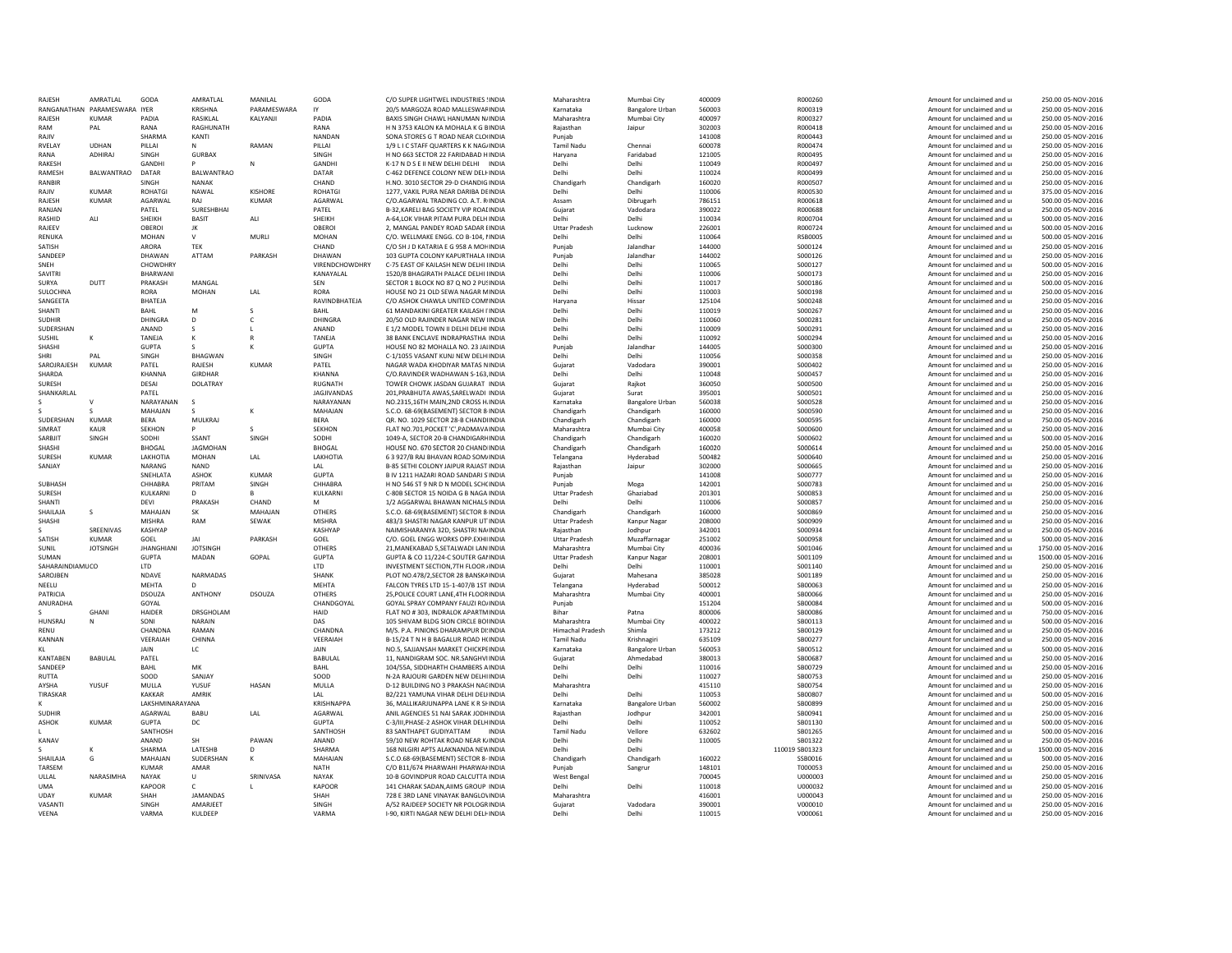| RAIFSH                   | AMRATI AI                      | GODA                   | AMRATI AI              | MANII AI         | GODA                  | C/O SUPER LIGHTWEL INDUSTRIES !INDIA                                         | Maharashtra                        | Mumbai City                | 400009             | R000260            | Amount for unclaimed and u                               | 250.00 05-NOV-2016                       |
|--------------------------|--------------------------------|------------------------|------------------------|------------------|-----------------------|------------------------------------------------------------------------------|------------------------------------|----------------------------|--------------------|--------------------|----------------------------------------------------------|------------------------------------------|
|                          | RANGANATHAN PARAMESWARA IYER   |                        | <b>KRISHNA</b>         | PARAMESWARA      | IY                    | 20/5 MARGOZA ROAD MALLESWAFINDIA                                             | Karnataka                          | <b>Bangalore Urban</b>     | 560003             | R000319            | Amount for unclaimed and u                               | 250.00 05-NOV-2016                       |
| RAJESH                   | <b>KUMAR</b>                   | PADIA                  | RASIKLAL               | KALYANJI         | PADIA                 | BAXIS SINGH CHAWL HANUMAN N/INDIA                                            | Maharashtra                        | Mumbai City                | 400097             | R000327            | Amount for unclaimed and u                               | 250.00 05-NOV-2016                       |
| RAM                      | PAL                            | RANA                   | RAGHUNATH              |                  | RANA                  | H N 3753 KALON KA MOHALA K G BINDIA                                          | Rajasthan                          | Jaipur                     | 302003             | R000418            | Amount for unclaimed and u                               | 250.00 05-NOV-2016                       |
| RAIIV                    |                                | SHARMA                 | KANTI                  |                  | NANDAN                | SONA STORES G T ROAD NEAR CLOUNDIA                                           | Puniab                             |                            | 141008             | R000443            | Amount for unclaimed and u                               | 250.00 05-NOV-2016                       |
| <b>RVELAY</b><br>RANA    | <b>UDHAN</b><br><b>ADHIRAI</b> | PILLAI                 | N                      | RAMAN            | PILLAI                | 1/9 L I C STAFF QUARTERS K K NAG/INDIA                                       | <b>Tamil Nadu</b>                  | Chennai                    | 600078             | R000474            | Amount for unclaimed and u                               | 250.00 05-NOV-2016                       |
| RAKESH                   |                                | SINGH<br>GANDH         | <b>GURBAX</b>          |                  | SINGH<br>GANDH        | H NO 663 SECTOR 22 FARIDABAD HINDIA<br>K-17 N D S E II NEW DELHI DELHI INDIA | Harvana<br>Delhi                   | Faridabad<br>Delhi         | 121005<br>110049   | R000495<br>R000497 | Amount for unclaimed and u<br>Amount for unclaimed and u | 250.00 05-NOV-2016<br>250.00 05-NOV-2016 |
| RAMESH                   | BALWANTRAO                     | DATAR                  | BALWANTRAO             | N                | DATAR                 | C-462 DEFENCE COLONY NEW DELFINDIA                                           | Delhi                              | Delhi                      | 110024             | R000499            | Amount for unclaimed and u                               | 250.00 05-NOV-2016                       |
| RANBIR                   |                                | SINGH                  | <b>NANAK</b>           |                  | CHAND                 | H.NO. 3010 SECTOR 29-D CHANDIG INDIA                                         |                                    | Chandigarh                 | 160020             | R000507            |                                                          | 250.00 05-NOV-2016                       |
| RAIIV                    | KUMAR                          | <b>ROHATGI</b>         | NAWAI                  | <b>KISHORE</b>   | <b>ROHATG</b>         | 1277, VAKIL PURA NEAR DARIBA DEINDIA                                         | Chandigarh<br>Delhi                | Delhi                      | 11000 <sub>F</sub> | <b>R000530</b>     | Amount for unclaimed and u<br>Amount for unclaimed and u | 375.00.05-NOV-2016                       |
| RAJESH                   | <b>KUMAR</b>                   | AGARWAI                | RAJ                    | <b>KUMAR</b>     | AGARWAI               | C/O.AGARWAL TRADING CO. A.T. R INDIA                                         | Assam                              | Dibrugarh                  | 786151             | R000618            | Amount for unclaimed and u                               | 500.00 05-NOV-2016                       |
| RANJAN                   |                                | PATEL                  | SURESHBHAI             |                  | PATEL                 | B-32, KARELI BAG SOCIETY VIP ROALINDIA                                       | Gujarat                            | Vadodara                   | 390022             | <b>ROOO688</b>     | Amount for unclaimed and u                               | 250.00 05-NOV-2016                       |
| RASHID                   | ALI                            | <b>SHEIKH</b>          | <b>BASIT</b>           | ALI              | SHEIKH                | A-64.LOK VIHAR PITAM PURA DELH INDIA                                         | Delhi                              | Delhi                      | 110034             | R000704            | Amount for unclaimed and u                               | 500.00 05-NOV-2016                       |
| RAJEEV                   |                                | OBERO                  | JK                     |                  | OBEROI                | 2. MANGAL PANDEY ROAD SADAR LINDIA                                           | <b>Uttar Pradesh</b>               | Lucknow                    | 226001             | R000724            | Amount for unclaimed and u                               | 500.00 05-NOV-2016                       |
| RENUKA                   |                                | <b>MOHAN</b>           | $\vee$                 | MURLI            | MOHAN                 | C/O. WELLMAKE ENGG. CO B-104, I INDIA                                        | Delhi                              | Delhi                      | 110064             | <b>RSB0005</b>     | Amount for unclaimed and u                               | 500.00 05-NOV-2016                       |
| SATISH                   |                                | ARORA                  | TEK                    |                  | CHAND                 | C/O SH J D KATARIA E G 958 A MOHINDIA                                        | Punjab                             | Jalandhar                  | 144000             | S000124            | Amount for unclaimed and u                               | 250.00 05-NOV-2016                       |
| SANDEEP                  |                                | DHAWAN                 | ATTAM                  | PARKASH          | DHAWAN                | 103 GUPTA COLONY KAPURTHALA HNDIA                                            | Punjab                             | Jalandha                   | 144002             | S000126            | Amount for unclaimed and u                               | 250.00 05-NOV-2016                       |
| SNEH                     |                                | <b>CHOWDHRY</b>        |                        |                  | <b>VIRENDCHOWDHRY</b> | C-75 EAST OF KAILASH NEW DELHI IINDIA                                        | Delhi                              | Delhi                      | 110065             | S000127            | Amount for unclaimed and u                               | 500.00 05-NOV-2016                       |
| SAVITR                   |                                | <b>BHARWANI</b>        |                        |                  | KANAYALAL             | 1520/8 BHAGIRATH PALACE DELHI UNDIA                                          | Delhi                              | Delhi                      | 11000 <sub>F</sub> | S000173            | Amount for unclaimed and u                               | 250.00 05-NOV-2016                       |
| SURYA                    | DUTT                           | PRAKASH                | MANGAL                 |                  | SEN                   | SECTOR 1 BLOCK NO 87 Q NO 2 PUSINDIA                                         | Delhi                              | Delhi                      | 110017             | S000186            | Amount for unclaimed and u                               | 500.00 05-NOV-2016                       |
| SULOCHNA                 |                                | RORA                   | MOHAN                  | LAL              | <b>RORA</b>           | HOUSE NO 21 OLD SEWA NAGAR MINDIA                                            | Delhi                              | Delhi                      | 110003             | S000198            | Amount for unclaimed and u                               | 250.00 05-NOV-2016                       |
| <b>SANGEETA</b>          |                                | BHATEJA                |                        |                  | RAVINDBHATEJA         | C/O ASHOK CHAWLA UNITED COMINDIA                                             | Haryana                            | Hissar                     | 125104             | S000248            | Amount for unclaimed and u                               | 250.00 05-NOV-2016                       |
| SHANTI                   |                                | <b>BAHI</b>            | M                      | s                | <b>BAHI</b>           | 61 MANDAKINI GREATER KAILASH LINDIA                                          | Delhi                              | Delhi                      | 110019             | \$000267           | Amount for unclaimed and u                               | 250.00 05-NOV-2016                       |
| <b>SUDHIR</b>            |                                | DHINGRA                | D                      | c                | <b>DHINGRA</b>        | 20/50 OLD RAJINDER NAGAR NEW IINDIA                                          | Delhi                              | Delhi                      | 110060             | S000281            | Amount for unclaimed and u                               | 250.00 05-NOV-2016                       |
| SUDERSHAN                |                                | ANAND                  | s                      |                  | ANAND                 | E 1/2 MODEL TOWN II DELHI DELHI INDIA                                        | Delhi                              | Delhi                      | 110009             | S000291            | Amount for unclaimed and u                               | 250.00 05-NOV-2016                       |
| SUSHIL                   |                                | TANEJA                 |                        |                  | <b>TANEJA</b>         | 38 BANK ENCLAVE INDRAPRASTHA INDIA                                           | Delhi                              | Delhi                      | 110092             | S000294            | Amount for unclaimed and u                               | 250.00 05-NOV-2016                       |
| SHASHI                   |                                | <b>GUPTA</b>           |                        | к                | <b>GUPTA</b>          | HOUSE NO 82 MOHALLA NO. 23 JAIINDIA                                          | Punjab                             | Jalandhar                  | 144005             | \$000300           | Amount for unclaimed and u                               | 250.00 05-NOV-2016                       |
| SHRI                     | PAI                            | SINGH                  | <b>BHAGWAN</b>         |                  | SINGH                 | C-1/1055 VASANT KUNI NEW DELH INDIA                                          | Delhi                              | Delhi                      | 110056             | S000358            | Amount for unclaimed and u                               | 250.00 05-NOV-2016                       |
| SAROJRAJESH              | <b>KUMAR</b>                   | PATEL                  | RAJESH                 | <b>KUMAR</b>     | PATEL                 | NAGAR WADA KHODIYAR MATAS NINDIA                                             | Guiarat                            | Vadodara                   | 390001             | S000402            | Amount for unclaimed and u                               | 250.00 05-NOV-2016                       |
| SHARDA                   |                                | <b>KHANNA</b>          | <b>GIRDHAR</b>         |                  | KHANNA                | C/O.RAVINDER WADHAWAN S-163.INDIA                                            |                                    | Delh                       | 110048             | S000457            | Amount for unclaimed and u                               | 250.00 05-NOV-2016                       |
| SURESH                   |                                | DESAI                  | DOLATRAY               |                  | <b>RUGNATH</b>        | TOWER CHOWK JASDAN GUJARAT INDIA                                             | Gujarat                            | Rajkot                     | 360050             | S000500            | Amount for unclaimed and u                               | 250.00 05-NOV-2016                       |
| SHANKARLAL               |                                | PATEL                  |                        |                  | <b>JAGIIVANDAS</b>    | 201.PRABHUTA AWAS SAREI WADI INDIA                                           | Guiarat                            | Surat                      | 395001             | S000501            | Amount for unclaimed and u                               | 250.00 05-NOV-2016                       |
| s.                       | $\vee$                         | NARAYANAN              | -S                     |                  | NARAYANAN             | NO.2315,16TH MAIN,2ND CROSS H.INDIA                                          | Karnataka                          | <b>Bangalore Urban</b>     | 560038             | S000528            | Amount for unclaimed and u                               | 250.00 05-NOV-2016                       |
| -S.                      | $\mathcal{S}_{\mathcal{S}}$    | MAHAJAN                | <b>s</b>               | K                | MAHAJAN               | S.C.O. 68-69(BASEMENT) SECTOR 8 INDIA                                        | Chandigarh                         | Chandigarh                 | 160000             | \$000590           | Amount for unclaimed and u                               | 250.00 05-NOV-2016                       |
| SUDERSHAN                | <b>KUMAF</b>                   | BERA                   | MULKRAJ                |                  | <b>BERA</b>           | QR. NO. 1029 SECTOR 28-B CHANDIINDIA                                         | Chandigarh                         | Chandigarh                 | 160000             | S000595            | Amount for unclaimed and u                               | 750.00 05-NOV-2016                       |
| <b>SIMRAT</b>            | KAUR                           | <b>SEKHON</b>          |                        | s                | <b>SEKHON</b>         | FLAT NO.701, POCKET 'C', PADMAVAINDIA                                        | Maharashtra                        | Mumbai City                | 400058             | \$000600           | Amount for unclaimed and u                               | 250.00 05-NOV-2016                       |
| SARBIIT                  | SINGH                          | SODHI                  | SSANT                  | SINGH            | SODHI                 | 1049-A. SECTOR 20-B CHANDIGARHINDIA                                          | Chandigarh                         | Chandigarh                 | 160020             | \$000602           | Amount for unclaimed and u                               | 500.00 05-NOV-2016                       |
| SHASHI                   |                                | <b>BHOGAL</b>          | <b>JAGMOHAN</b>        |                  | <b>BHOGAL</b>         | HOUSE NO. 670 SECTOR 20 CHAND INDIA                                          | Chandigarh                         | Chandigarh                 | 160020             | S000614            | Amount for unclaimed and u                               | 250.00 05-NOV-2016                       |
| <b>SURESH</b>            | <b>KUMAR</b>                   | LAKHOTIA               | <b>MOHAN</b>           | LAL              | LAKHOTIA              | 6 3 927/B RAJ BHAVAN ROAD SOM/INDIA                                          | Telangana                          | Hyderabad                  | 500482             | S000640            | Amount for unclaimed and u                               | 250.00 05-NOV-2016                       |
| SANJAY                   |                                | NARANG                 | <b>NAND</b>            |                  | LAL                   | B-85 SETHI COLONY JAIPUR RAJAST INDIA                                        | Rajasthan                          | Jaipur                     | 302000             | S000665            | Amount for unclaimed and u                               | 250.00 05-NOV-2016                       |
|                          |                                | SNEHLATA               | <b>ASHOK</b>           | KUMAR            | GUPTA                 | B IV 1211 HAZARI ROAD SANDARI SINDIA                                         | Puniab                             |                            | 141008             | S000777            | Amount for unclaimed and u                               | 250.00 05-NOV-2016                       |
| SUBHASH<br><b>SURESH</b> |                                | CHHABRA                | PRITAM<br>$\mathsf{D}$ | SINGH            | CHHABRA               | H NO 546 ST 9 NR D N MODEL SCH(INDIA                                         | Puniab                             | Moga                       | 142001             | S000783            | Amount for unclaimed and u                               | 250.00 05-NOV-2016                       |
|                          |                                | KULKARNI               |                        | R                | KULKARNI              | C-80B SECTOR 15 NOIDA G B NAGA INDIA                                         | <b>Uttar Pradesh</b>               | Ghaziabad                  | 201301             | S000853            | Amount for unclaimed and u                               | 250.00 05-NOV-2016                       |
| SHANTI<br>SHAILAJA       | <sub>S</sub>                   | <b>DEVI</b><br>MAHAJAN | PRAKASH<br><b>SK</b>   | CHAND<br>MAHAJAN | <b>OTHERS</b>         | 1/2 AGGARWAL BHAWAN NICHALS INDIA<br>S.C.O. 68-69(BASEMENT) SECTOR 8 INDIA   | Delhi                              | Delhi                      | 110006<br>160000   | S000857<br>S000869 | Amount for unclaimed and u                               | 250.00 05-NOV-2016<br>250.00 05-NOV-2016 |
| SHASHI                   |                                | MISHRA                 | RAM                    | <b>SEWAK</b>     | MISHRA                | 483/3 SHASTRI NAGAR KANPUR UT INDIA                                          | Chandigarh<br><b>Uttar Pradesh</b> | Chandigarh<br>Kanpur Nagar | 208000             | \$000909           | Amount for unclaimed and u                               | 250.00 05-NOV-2016                       |
|                          | SREENIVAS                      | <b>KASHYAP</b>         |                        |                  | KASHYAP               | NAIMISHARANYA 32D. SHASTRI NAIINDIA                                          | Raiasthan                          | Jodhpur                    | 342001             | \$000934           | Amount for unclaimed and u<br>Amount for unclaimed and u | 250.00 05-NOV-2016                       |
| SATISH                   | <b>KUMAR</b>                   | GOEL                   | JAI                    | PARKASH          | GOEL                  | C/O. GOEL ENGG WORKS OPP.EXHI INDIA                                          | <b>Uttar Pradesh</b>               | Muzaffarnaga               | 251002             | S000958            | Amount for unclaimed and u                               | 500.00 05-NOV-2016                       |
| SUNIL                    | <b>JOTSINGH</b>                | <b>JHANGHIANI</b>      | <b>JOTSINGH</b>        |                  | OTHERS                | 21, MANEKABAD 5, SETALWADI LAN INDIA                                         | Maharashtra                        | Mumbai City                | 400036             | S001046            | Amount for unclaimed and u                               | 1750.00 05-NOV-2016                      |
| SUMAN                    |                                | <b>GUPTA</b>           | MADAN                  | GOPAL            | <b>GUPTA</b>          | GUPTA & CO 11/224-C SOUTER GANNDIA                                           | <b>Uttar Pradesh</b>               | Kanpur Nagar               | 208001             | S001109            | Amount for unclaimed and u                               | 1500.00 05-NOV-2016                      |
| SAHARAINDIAMUCO          |                                | <b>LTD</b>             |                        |                  | LTD                   | INVESTMENT SECTION.7TH FLOOR / INDIA                                         | Delhi                              | Delhi                      | 110001             | S001140            | Amount for unclaimed and u                               | 250.00 05-NOV-2016                       |
| SAROJBEN                 |                                | NDAVE                  | NARMADAS               |                  | SHANK                 | PLOT NO.478/2, SECTOR 28 BANSKAINDIA                                         | Guiarat                            | Mahesana                   | 385028             | S001189            | Amount for unclaimed and u                               | 250.00 05-NOV-2016                       |
| NEELU                    |                                | MEHTA                  | D                      |                  | <b>MEHTA</b>          | FALCON TYRES LTD 15-1-407/B 1ST INDIA                                        | Telangana                          | Hyderabad                  | 500012             | SB00063            | Amount for unclaimed and u                               | 250.00 05-NOV-2016                       |
| PATRICIA                 |                                | DSOUZA                 | ANTHONY                | DSOUZA           | OTHERS                | 25, POLICE COURT LANE, 4TH FLOOR INDIA                                       | Maharashtra                        | Mumbai City                | 400001             | SB00066            | Amount for unclaimed and u                               | 250.00 05-NOV-2016                       |
| ANURADHA                 |                                | GOYAL                  |                        |                  | CHANDGOYAL            | GOYAL SPRAY COMPANY FAUZI RO/INDIA                                           | Punjab                             |                            | 151204             | SB00084            | Amount for unclaimed and u                               | 500.00 05-NOV-2016                       |
| -S.                      | GHANI                          | <b>HAIDER</b>          | <b>DRSGHOLAM</b>       |                  | HAID                  | FLAT NO #303. INDRALOK APARTMINDIA                                           | <b>Bihar</b>                       | Patna                      | 800006             | SB00086            | Amount for unclaimed and u                               | 750.00 05-NOV-2016                       |
| <b>HUNSRAJ</b>           | N                              | SONI                   | NARAIN                 |                  | DAS                   | 105 SHIVAM BLDG SION CIRCLE BOIINDIA                                         | Maharashtra                        | Mumbai City                | 400022             | SB00113            | Amount for unclaimed and u                               | 500.00 05-NOV-2016                       |
| RFNU                     |                                | CHANDNA                | RAMAN                  |                  | <b>CHANDNA</b>        | M/S. P.A. PINIONS DHARAMPUR DI: INDIA                                        | <b>Himachal Pradesh</b>            | Shimla                     | 173212             | SB00129            | Amount for unclaimed and u                               | 250.00 05-NOV-2016                       |
| KANNAN                   |                                | VEERAIAH               | CHINNA                 |                  | VEERAIAH              | B-15/24 T N H B BAGALUR ROAD H(INDIA                                         | <b>Tamil Nadu</b>                  | Krishnagir                 | 635109             | SB00277            | Amount for unclaimed and u                               | 250.00 05-NOV-2016                       |
| KI                       |                                | JAIN                   | LC                     |                  | JAIN                  | NO.5. SAJJANSAH MARKET CHICKPEINDIA                                          | Karnataka                          | <b>Bangalore Urban</b>     | 560053             | SB00512            | Amount for unclaimed and u                               | 500.00 05-NOV-2016                       |
| KANTABEN                 | BABULAL                        | PATEL                  |                        |                  | <b>BABULAL</b>        | 11, NANDIGRAM SOC. NR.SANGHVI INDIA                                          | Guiarat                            | Ahmedabad                  | 380013             | SB00687            | Amount for unclaimed and u                               | 250.00 05-NOV-2016                       |
| SANDEEP                  |                                | BAHL                   | MK                     |                  | BAHL                  | 104/55A, SIDDHARTH CHAMBERS AINDIA                                           | Delhi                              | Delhi                      | 110016             | SB00729            | Amount for unclaimed and u                               | 250.00 05-NOV-2016                       |
| <b>RUTTA</b>             |                                | SOOD                   | SANJAY                 |                  | SOOD                  | N-2A RAJOURI GARDEN NEW DELHI INDIA                                          | Delhi                              | Delhi                      | 110027             | SB00753            | Amount for unclaimed and u                               | 250.00 05-NOV-2016                       |
| AYSHA                    | YUSUF                          | MULLA                  | YUSUF                  | <b>HASAN</b>     | MULLA                 | D-12 BUILDING NO 3 PRAKASH NACINDIA                                          | Maharashtra                        |                            | 415110             | SB00754            | Amount for unclaimed and u                               | 250.00 05-NOV-2016                       |
| TIRASKAR                 |                                | <b>KAKKAR</b>          | AMRIK                  |                  | <b>IAI</b>            | <b>B2/221 YAMUNA VIHAR DELHI DELHINDIA</b>                                   | Delhi                              | Delhi                      | 110053             | SB00807            | Amount for unclaimed and u                               | 500.00 05-NOV-2016                       |
|                          |                                | LAKSHMINARAYANA        |                        |                  | KRISHNAPPA            | 36, MALLIKARJUNAPPA LANE K R SHINDIA                                         | Karnataka                          | <b>Bangalore Urban</b>     | 560002             | SB00899            | Amount for unclaimed and u                               | 250.00 05-NOV-2016                       |
| <b>SUDHIF</b>            |                                | AGARWAL                | BABU                   | LAL              | AGARWAL               | ANIL AGENCIES 51 NAI SARAK JODHINDIA                                         | Raiasthan                          | Jodhpu                     | 342001             | SB00941            | Amount for unclaimed and u                               | 250.00 05-NOV-2016                       |
| ASHOK                    | <b>KUMAR</b>                   | <b>GUPTA</b>           | DC                     |                  | <b>GUPTA</b>          | C-3/III.PHASE-2 ASHOK VIHAR DELHINDIA                                        | Delhi                              | Delhi                      | 110052             | SB01130            | Amount for unclaimed and u                               | 500.00 05-NOV-2016                       |
|                          |                                | SANTHOSH               |                        |                  | SANTHOSH              | 83 SANTHAPFT GUDIYATTAM<br><b>INDIA</b>                                      | <b>Tamil Nadu</b>                  | Vellore                    | 632602             | SB01265            | Amount for unclaimed and u                               | 500.00 05-NOV-2016                       |
| KANAV                    |                                | ANAND                  | SH                     | PAWAN            | ANAND                 | 59/10 NEW ROHTAK ROAD NEAR K/INDIA                                           | Delhi                              | Delhi                      | 110005             | SB01322            | Amount for unclaimed and u                               | 250.00 05-NOV-2016                       |
|                          |                                | SHARMA                 | <b>LATESHB</b>         | D.               | SHARMA                | 168 NILGIRI APTS ALAKNANDA NEWINDIA                                          | Delhi                              | Delhi                      |                    | 110019 SB01323     | Amount for unclaimed and u                               | 1500.00.05-NOV-2016                      |
| SHAILAJA                 | G                              | MAHAJAN                | SUDERSHAN              | К                | MAHAJAN               | S.C.O.68-69(BASEMENT) SECTOR 8- INDIA                                        | Chandigarh                         | Chandigarh                 | 160022             | SSB0016            | Amount for unclaimed and u                               | 500.00 05-NOV-2016                       |
| TARSEM                   |                                | <b>KUMAR</b>           | AMAR                   |                  | <b>NATH</b>           | C/O B11/674 PHARWAHI PHARWAHNDIA                                             | Punjab                             | Sangrui                    | 148101             | T000053            | Amount for unclaimed and u                               | 250.00 05-NOV-2016                       |
| UITAL                    | NARASIMHA                      | NAYAK                  | $\mathbf{U}$           | SRINIVASA        | NAYAK                 | 10-B GOVINDPUR ROAD CALCUTTA INDIA                                           | West Benga                         |                            | 700045             | 11000003           | Amount for unclaimed and u                               | 250.00 05-NOV-2016                       |
| <b>UMA</b>               |                                | KAPOOF                 | c                      |                  | <b>KAPOOF</b>         | 141 CHARAK SADAN AIIMS GROUP INDIA                                           | Delhi                              | Delhi                      | 110018             | U000032            | Amount for unclaimed and u                               | 250.00 05-NOV-2016                       |
| <b>UDAY</b>              | KUMAR                          | SHAH                   | <b>JAMANDAS</b>        |                  | SHAH                  | 728 E 3RD LANE VINAYAK BANGLOVINDIA                                          | Maharashtra                        |                            | 416001             | 1000043            | Amount for unclaimed and u                               | 250.00 05-NOV-2016                       |
| VASANTI<br>VEENA         |                                | SINGH                  | AMARJEET               |                  | SINGH<br>VARMA        | A/52 RAJDEEP SOCIETY NR POLOGRINDIA                                          | Gujarat<br>Delhi                   | Vadodara                   | 390001             | V000010            | Amount for unclaimed and u                               | 250.00 05-NOV-2016                       |
|                          |                                | VARMA                  | KULDEEP                |                  |                       | I-90, KIRTI NAGAR NEW DELHI DELFINDIA                                        |                                    | Delhi                      | 110015             | V000061            | Amount for unclaimed and u                               | 250.00 05-NOV-2016                       |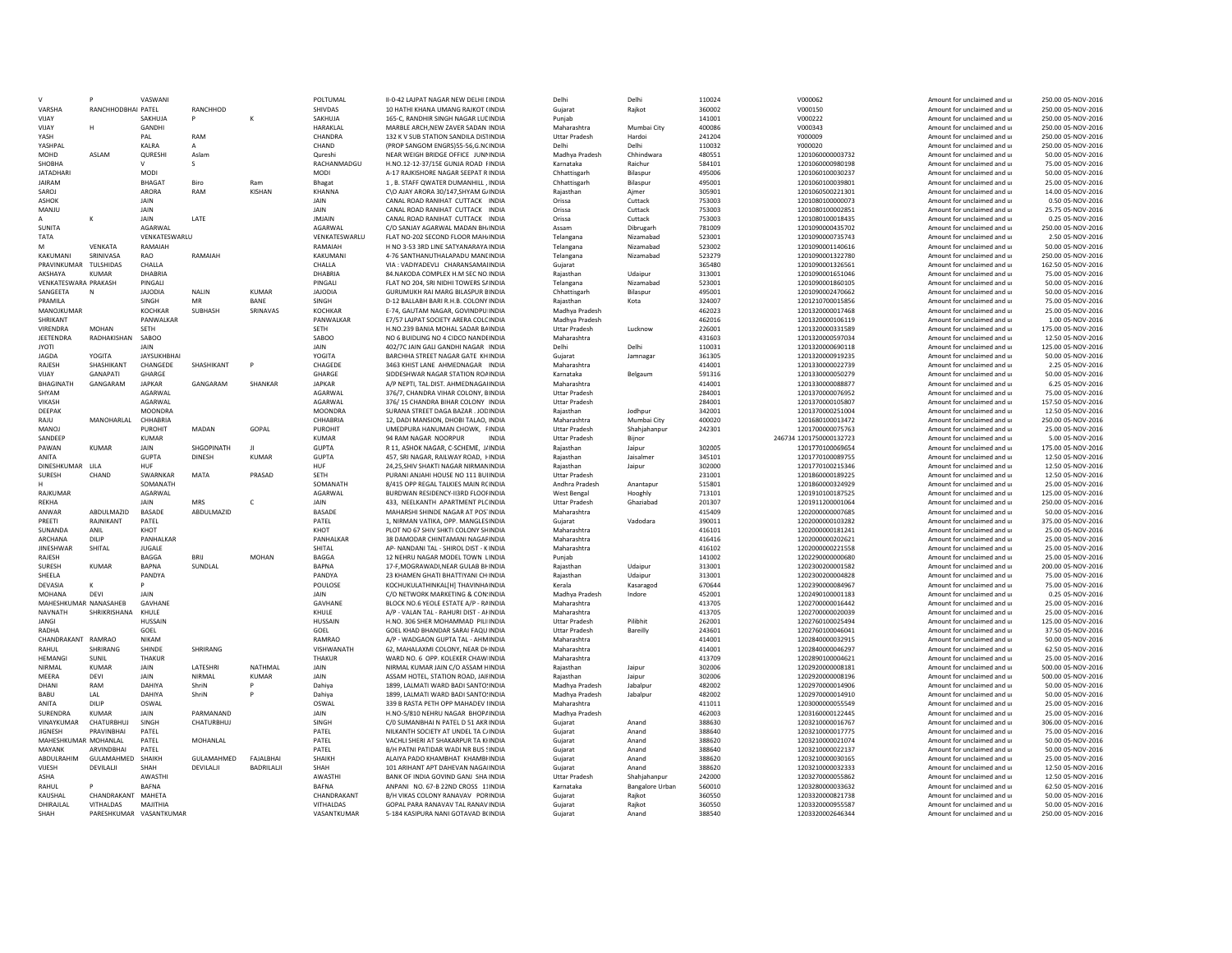|                           |                      | VASWAN                              |                    |                   | POI TUMAI                   | II-0-42 LAIPAT NAGAR NEW DELHI LINDIA                                       | Delh                          | Delhi                  | 110024           | V000062                              | Amount for unclaimed and u                               | 250.00 05-NOV-2016                      |
|---------------------------|----------------------|-------------------------------------|--------------------|-------------------|-----------------------------|-----------------------------------------------------------------------------|-------------------------------|------------------------|------------------|--------------------------------------|----------------------------------------------------------|-----------------------------------------|
| VARSHA                    | RANCHHODBHAI PATEL   |                                     | RANCHHOD           |                   | SHIVDAS                     | 10 HATHI KHANA UMANG RAJKOT (INDIA                                          | Guiarat                       | Raikot                 | 360002           | V000150                              | Amount for unclaimed and u                               | 250.00 05-NOV-2016                      |
| VIJAY                     |                      | SAKHUJA                             | P                  |                   | SAKHUJA                     | 165-C. RANDHIR SINGH NAGAR LUCINDIA                                         | Puniab                        |                        | 141001           | V000222                              | Amount for unclaimed and u                               | 250.00 05-NOV-2016                      |
| VIJAY                     |                      | GANDHI                              |                    |                   | HARAKLAL                    | MARBLE ARCH, NEW ZAVER SADAN INDIA                                          | Maharashtra                   | Mumbai City            | 400086           | V000343                              | Amount for unclaimed and u                               | 250.00 05-NOV-2016                      |
| YASH                      |                      | PAI                                 | RAM                |                   | CHANDRA                     | 132 K V SUB STATION SANDILA DISTINDIA                                       | Uttar Pradesh                 | Hardoi                 | 241204           | Y000009                              | Amount for unclaimed and u                               | 250.00 05-NOV-2016                      |
| YASHPAI                   |                      | KALRA                               | A                  |                   | CHAND                       | (PROP SANGOM ENGRS)55-56.G.NCINDIA                                          | Delhi                         | Delhi                  | 110032           | Y000020                              | Amount for unclaimed and u                               | 250.00 05-NOV-2016                      |
| MOHD                      | ASI AM               | QURESHI                             | Aslam              |                   | Qureshi                     | NEAR WEIGH BRIDGE OFFICE JUNNINDIA                                          | Madhya Pradesh                | Chhindwara             | 480551           | 1201060000003732                     | Amount for unclaimed and u                               | 50.00 05-NOV-2016                       |
| SHOBHA                    |                      |                                     | s                  |                   | RACHANMADGU                 | H.NO.12-12-37/15E GUNJA ROAD FINDIA                                         | Karnataka                     | Raichur                | 584101           | 1201060000980198                     | Amount for unclaimed and u                               | 75.00 05-NOV-2016                       |
| <b>JATADHARI</b>          |                      | MODI                                |                    |                   | MODI                        | A-17 RAJKISHORE NAGAR SEEPAT R INDIA                                        | Chhattisgarh                  | Bilaspur               | 495006           | 1201060100030237                     | Amount for unclaimed and u                               | 50.00 05-NOV-2016                       |
| <b>JAIRAM</b>             |                      | <b>BHAGAT</b>                       | Biro               | Ram               | Bhagat                      | 1. B. STAFF OWATER DUMANHILL . INDIA                                        | Chhattisgarh                  | Bilaspur               | 495001           | 1201060100039801                     | Amount for unclaimed and u                               | 25.00 05-NOV-2016                       |
| SAROI                     |                      | ARORA                               | RAM                | KISHAN            | KHANNA                      | CO AIAY ARORA 30/147 SHYAM GJINDIA                                          | Raiasthan                     | Aimer                  | 305901           | 1201060500221301                     | Amount for unclaimed and u                               | 14.00 05-NOV-2016                       |
| ASHOK                     |                      | JAIN                                |                    |                   | JAIN                        | CANAL ROAD RANIHAT CUTTACK INDIA                                            | Orissa                        | Cuttack                | 753003           | 1201080100000073                     | Amount for unclaimed and u                               | 0.50 05-NOV-2016                        |
| MANJU                     |                      | JAIN                                |                    |                   | <b>JAIN</b>                 | CANAL ROAD RANIHAT CUTTACK INDIA                                            | Orissa                        | Cuttack                | 753003           | 1201080100002851                     | Amount for unclaimed and u                               | 25.75 05-NOV-2016                       |
|                           |                      | JAIN                                | LATE               |                   | <b>JMJAIN</b>               | CANAL ROAD RANIHAT CUTTACK INDIA                                            | Orissa                        | Cuttack                | 753003           | 1201080100018435                     | Amount for unclaimed and u                               | 0.25 05-NOV-2016                        |
| SUNITA                    |                      | AGARWAI                             |                    |                   | <b>AGARWAI</b>              | C/O SANJAY AGARWAI MADAN BHJNDIA                                            | Assam                         | Dibrugarh              | 781009           | 1201090000435702                     | Amount for unclaimed and u                               | 250.00 05-NOV-2016                      |
| <b>TATA</b>               |                      | VENKATESWARLU                       |                    |                   | VENKATESWARLU               | FLAT NO-202 SECOND FLOOR MAH INDIA                                          | Telangana                     | Nizamabad              | 523001           | 1201090000735743                     | Amount for unclaimed and u                               | 2.50 05-NOV-2016                        |
| M                         | VFNKATA              | RAMAIAH                             |                    |                   | RAMAIAH                     | H NO 3-53 3RD LINE SATYANARAYA INDIA                                        | Telangana                     | Nizamabad              | 523002           | 1201090001140616                     | Amount for unclaimed and u                               | 50.00 05-NOV-2016                       |
| KAKUMANI                  | SRINIVASA            | RAO                                 | RAMAIAH            |                   | KAKUMANI                    | 4-76 SANTHANUTHALAPADU MANLINDIA                                            | Telangana                     | Nizamabad              | 523279           | 1201090001322780                     | Amount for unclaimed and u                               | 250.00 05-NOV-2016                      |
| PRAVINKUMAR               | TULSHIDAS            | CHALLA                              |                    |                   | CHALLA                      | VIA : VADIYADEVLI CHARANSAMAIINDIA                                          | Gujarat                       |                        | 365480           | 1201090001326561                     | Amount for unclaimed and u                               | 162.50 05-NOV-2016                      |
| AKSHAYA                   | KUMAR                | DHABRIA                             |                    |                   | DHABRIA                     | 84 NAKODA COMPLEX H.M SEC NO INDIA                                          | Raiasthan                     | Udaipur                | 313001           | 1201090001651046                     | Amount for unclaimed and u                               | 75.00 05-NOV-2016                       |
| VENKATESWARA PRAKASH      |                      | PINGAL                              |                    |                   | PINGALI                     | FLAT NO 204, SRI NIDHI TOWERS SAINDIA                                       | Telangana                     | Nizamabad              | 523001           | 1201090001860105                     | Amount for unclaimed and u                               | 50.00 05-NOV-2016                       |
| SANGEETA                  | N                    | <b>JAJODIA</b>                      | NALIN              | KUMAR             | <b>JAJODIA</b>              | GURUMUKH RAI MARG BILASPUR BINDIA                                           | Chhattisgarh                  | Bilaspu                | 495001           | 1201090002470662                     | Amount for unclaimed and u                               | 50.00 05-NOV-2016                       |
| PRAMILA                   |                      | SINGH                               | MR                 | BANE              | SINGH                       | D-12 BALLABH BARI R.H.B. COLONY INDIA                                       | Rajasthan                     | Kota                   | 324007           | 1201210700015856                     | Amount for unclaimed and u                               | 75.00 05-NOV-2016                       |
| MANOJKUMAR                |                      | <b>KOCHKAR</b>                      | SUBHASH            | SRINAVAS          | <b>KOCHKAR</b>              | E-74, GAUTAM NAGAR, GOVINDPU INDIA                                          | Madhya Pradesh                |                        | 462023           | 1201320000017468                     | Amount for unclaimed and u                               | 25.00.05-NOV-2016                       |
| SHRIKANT                  |                      | PANWALKAR                           |                    |                   | PANWALKAR                   | E7/57 LAJPAT SOCIETY ARERA COLCINDIA                                        | Madhya Pradesh                |                        | 462016           | 1201320000106119                     | Amount for unclaimed and u                               | 1.00 05-NOV-2016                        |
| VIRENDRA                  | MOHAN                | SETH                                |                    |                   | SFTH                        | H.NO.239 BANIA MOHAL SADAR BAINDIA                                          | <b>Uttar Pradesh</b>          | Lucknow                | 226001           | 1201320000331589                     | Amount for unclaimed and u                               | 175.00 05-NOV-2016                      |
| JEETENDRA                 | RADHAKISHAN          | SABOO                               |                    |                   | SABOO                       | NO 6 BUIDLING NO 4 CIDCO NANDEINDIA                                         | Maharashtra                   |                        | 431603           | 1201320000597034                     | Amount for unclaimed and u                               | 12.50 05-NOV-2016                       |
| <b>IYOT</b>               |                      | JAIN                                |                    |                   | <b>JAIN</b>                 | 402/7C JAIN GALI GANDHI NAGAR INDIA                                         | Delhi                         | Delhi                  | 110031           | 1201320000690118                     | Amount for unclaimed and u                               | 125.00 05-NOV-2016                      |
| <b>JAGDA</b>              | YOGITA               | <b>JAYSUKHBHAI</b>                  |                    |                   | YOGITA                      | BARCHHA STREET NAGAR GATE KHINDIA                                           | Gujarat                       | Jamnagar               | 361305           | 1201320000919235                     | Amount for unclaimed and u                               | 50.00 05-NOV-2016                       |
| <b>RAIFSH</b>             | SHASHIKANT           | CHANGEDE                            | SHASHIKANT         |                   | CHAGEDE                     | 3463 KHIST LANE AHMEDNAGAR INDIA                                            | Maharashtra                   |                        | 414001           | 1201330000022739                     | Amount for unclaimed and u                               | 2.25 05-NOV-2016                        |
| VIJAY                     | <b>GANAPATI</b>      | <b>GHARGE</b>                       |                    |                   | <b>GHARGE</b>               | SIDDESHWAR NAGAR STATION ROAINDIA                                           | Karnataka                     | Belgaum                | 591316           | 1201330000050279                     | Amount for unclaimed and u                               | 50.00 05-NOV-2016                       |
| <b>BHAGINATH</b>          | GANGARAM             | <b>JAPKAR</b>                       | GANGARAM           | SHANKAR           | <b>JAPKAR</b>               | A/P NEPTI, TAL.DIST, AHMEDNAGAIINDIA                                        | Maharashtra                   |                        | 414001           | 1201330000088877                     | Amount for unclaimed and u                               | 6.25 05-NOV-2016                        |
| SHYAM                     |                      | AGARWAL                             |                    |                   | AGARWAL                     | 376/7, CHANDRA VIHAR COLONY, BINDIA                                         | <b>Uttar Pradesh</b>          |                        | 284001           | 1201370000076952                     | Amount for unclaimed and u                               | 75.00 05-NOV-2016                       |
| <b>VIKASH</b>             |                      | AGARWAI                             |                    |                   | <b>AGARWAI</b>              | 376/15 CHANDRA BIHAR COLONY INDIA                                           | <b>Uttar Pradesh</b>          |                        | 284001           | 1201370000105807                     | Amount for unclaimed and u                               | 157.50 05-NOV-2016                      |
| DEEPAK                    |                      | <b>MOONDRA</b>                      |                    |                   | MOONDRA                     | SURANA STREET DAGA BAZAR . JODINDIA                                         | Raiasthan                     | Jodhour                | 342001           | 1201370000251004                     | Amount for unclaimed and u                               | 12.50 05-NOV-2016                       |
| RAJU                      | MANOHARLAL           | CHHABRIA                            |                    |                   | CHHABRIA                    | 12, DADI MANSION, DHOBI TALAO, INDIA                                        | Maharashtra                   | Mumbai City            | 400020           | 1201680100013472                     | Amount for unclaimed and u                               | 250.00 05-NOV-2016                      |
| <b>MANOJ</b>              |                      | PUROHIT                             | MADAN              | GOPAL             | PUROHIT                     | UMEDPURA HANUMAN CHOWK, FINDIA                                              | <b>Uttar Pradesh</b>          | Shahjahanpur           | 242301           | 1201700000075763                     | Amount for unclaimed and u                               | 25.00 05-NOV-2016                       |
| SANDEEF                   |                      | <b>KUMAR</b>                        |                    |                   | <b>KUMAR</b>                | 94 RAM NAGAR NOORPUR<br><b>INDIA</b>                                        | <b>Uttar Pradesh</b>          | Bijnor                 |                  | 246734 1201750000132723              | Amount for unclaimed and u                               | 5.00 05-NOV-2016                        |
| PAWAN                     | KUMAR                | <b>JAIN</b>                         | SHGOPINATH         | <b>II</b>         | GUPTA                       | R 11. ASHOK NAGAR, C-SCHEME. LUNDIA                                         | Raiasthan                     | lainur                 | 302005           | 1201770100069654                     | Amount for unclaimed and u                               | 175.00 05-NOV-2016                      |
| ANITA                     |                      | <b>GUPTA</b>                        | <b>DINESH</b>      | <b>KUMAR</b>      | <b>GUPTA</b>                | 457, SRI NAGAR, RAILWAY ROAD, FINDIA                                        | Rajasthan                     | Jaisalmer              | 345101           | 1201770100089755                     | Amount for unclaimed and u                               | 12.50 05-NOV-2016                       |
| <b>DINESHKUMAR</b>        | HBA                  | HUF                                 |                    |                   | HUF                         | 24.25.SHIV SHAKTI NAGAR NIRMANINDIA                                         | Raiasthan                     | Jaipur                 | 302000           | 1201770100215346                     | Amount for unclaimed and u                               | 12.50 05-NOV-2016                       |
| SURESH                    | CHAND                | SWARNKAR                            | MATA               | PRASAD            | SETH                        | PURANI ANJAHI HOUSE NO 111 BUIINDIA                                         | <b>Uttar Pradesh</b>          |                        | 231001           | 1201860000189225                     | Amount for unclaimed and u                               | 12.50 05-NOV-2016                       |
|                           |                      | SOMANATH                            |                    |                   | SOMANATH                    | 8/415 OPP REGAL TALKIES MAIN ROINDIA                                        | Andhra Pradesh                | Anantanu               | 515801           | 1201860000324929                     | Amount for unclaimed and u                               | 25.00.05-NOV-2016                       |
| RAJKUMAR                  |                      | AGARWAL                             |                    |                   | AGARWAL                     | BURDWAN RESIDENCY-II3RD FLOOFINDIA                                          | <b>West Bengal</b>            | Hooghly                | 713101           | 1201910100187525                     | Amount for unclaimed and u                               | 125.00 05-NOV-2016                      |
| RFKHA                     |                      | <b>JAIN</b>                         | <b>MRS</b>         | Ċ                 | <b>JAIN</b>                 | 433, NEELKANTH APARTMENT PLCINDIA                                           | <b>Uttar Pradesh</b>          | Ghaziabad              | 201307           | 1201911200001064                     | Amount for unclaimed and u                               | 250.00 05-NOV-2016                      |
| ANWAR                     | ABDULMAZID           | BASADE                              | ABDULMAZID         |                   | BASADE                      | MAHARSHI SHINDE NAGAR AT POS'INDIA                                          | Maharashtra                   |                        | 415409           | 1202000000007685                     | Amount for unclaimed and u                               | 50.00 05-NOV-2016                       |
| PREETI                    | RAJNIKANT            | PATEL                               |                    |                   | PATEL                       | 1, NIRMAN VATIKA, OPP. MANGLESINDIA                                         | Gujarat                       | Vadodara               | 390011           | 1202000000103282                     | Amount for unclaimed and u                               | 375.00 05-NOV-2016                      |
| SUNANDA<br><b>ARCHANA</b> | ANII                 | KHOT                                |                    |                   | KHOT<br>PANHAI KAR          | PLOT NO 67 SHIV SHKTLCOLONY SHINDIA                                         | Maharashtra                   |                        | 416101           | 1202000000181241                     | Amount for unclaimed and u                               | 25.00.05-NOV-2016                       |
|                           | <b>DILIP</b>         | PANHALKAR                           |                    |                   |                             | 38 DAMODAR CHINTAMANI NAGAFINDIA                                            | Maharashtra                   |                        | 416416           | 1202000000202621                     | Amount for unclaimed and u                               | 25.00 05-NOV-2016                       |
| <b>JINESHWAR</b>          | SHITAL               | JUGALE                              | <b>BRII</b>        |                   | <b>SHITA</b>                | AP- NANDANI TAL - SHIROL DIST - KINDIA                                      | Maharashtra                   |                        | 416102           | 1202000000221558                     | Amount for unclaimed and u                               | 25.00 05-NOV-2016<br>25.00.05-NOV-2016  |
| RAJESH                    |                      | BAGGA                               |                    | MOHAN             | BAGGA                       | 12 NEHRU NAGAR MODEL TOWN LINDIA                                            | Punjab                        |                        | 141002           | 1202290000000680                     | Amount for unclaimed and u                               |                                         |
| SURESH<br>SHEELA          | <b>KUMAR</b>         | <b>BAPNA</b><br>PANDYA              | SUNDLAI            |                   | <b>BAPNA</b><br>PANDYA      | 17-F.MOGRAWADI.NEAR GULAB BI INDIA<br>23 KHAMEN GHATI BHATTIYANI CH INDIA   | Raiasthan                     | Udaipur                | 313001<br>313001 | 1202300200001582<br>1202300200004828 | Amount for unclaimed and u                               | 200.00 05-NOV-2016                      |
|                           |                      |                                     |                    |                   |                             |                                                                             | Raiasthan                     | Udaipur                |                  |                                      | Amount for unclaimed and u                               | 75.00 05-NOV-2016                       |
| DEVASIA                   | ĸ                    |                                     |                    |                   | POULOSE                     | KOCHUKULATHINKAL[H] THAVINHAINDIA                                           | Kerala                        | Kasaragod              | 670644           | 1202390000084967                     | Amount for unclaimed and u                               | 75.00 05-NOV-2016                       |
| MOHANA                    | DEVI                 | <b>JAIN</b>                         |                    |                   | <b>JAIN</b>                 | C/O NETWORK MARKETING & CON: INDIA                                          | Madhya Pradesh                | Indore                 | 452001           | 1202490100001183                     | Amount for unclaimed and u                               | 0.25 05-NOV-2016                        |
| MAHESHKUMAR NANASAHEB     | SHRIKRISHANA         | GAVHANE                             |                    |                   | GAVHANE                     | BLOCK NO.6 YEOLE ESTATE A/P - RAINDIA                                       | Maharashtra                   |                        | 413705           | 1202700000016442                     | Amount for unclaimed and u                               | 25.00 05-NOV-2016                       |
| <b>NAVNATH</b>            |                      | KHULE                               |                    |                   | KHULE<br><b>HUSSAIN</b>     | A/P - VALAN TAL - RAHURI DIST - AHNDIA<br>H.NO. 306 SHER MOHAMMAD PILLINDIA | Maharashtra                   | Pilibhit               | 413705<br>262001 | 1202700000020039                     | Amount for unclaimed and u                               | 25.00 05-NOV-2016<br>125.00.05-NOV-2016 |
| <b>JANGI</b><br>RADHA     |                      | <b>HUSSAIN</b><br>GOEL              |                    |                   | GOEL                        | GOEL KHAD BHANDAR SARAI FAQU INDIA                                          | <b>Uttar Pradesh</b>          | Bareilly               | 243601           | 1202760100025494                     | Amount for unclaimed and u                               | 37.50 05-NOV-2016                       |
|                           |                      | NIKAM                               |                    |                   | RAMRAC                      |                                                                             | <b>Uttar Pradesh</b>          |                        |                  | 1202760100046041                     | Amount for unclaimed and u                               |                                         |
| CHANDRAKANT RAMRAO        |                      |                                     |                    |                   |                             | A/P - WADGAON GUPTA TAL - AHMINDIA                                          | Maharashtra                   |                        | 414001           | 1202840000032915                     | Amount for unclaimed and u                               | 50.00 05-NOV-2016                       |
| RAHUL<br><b>HFMANGI</b>   | SHRIRANG<br>SUNIL    | SHINDE<br>THAKUR                    | SHRIRANG           |                   | <b>VISHWANATH</b><br>THAKUF | 62, MAHALAXMI COLONY, NEAR DI INDIA<br>WARD NO. 6 OPP. KOLEKER CHAW INDIA   | Maharashtra<br>Maharashtra    |                        | 414001<br>413709 | 1202840000046297<br>1202890100004621 | Amount for unclaimed and u<br>Amount for unclaimed and u | 62.50 05-NOV-2016<br>25.00.05-NOV-2016  |
|                           |                      |                                     |                    |                   |                             |                                                                             |                               |                        |                  |                                      |                                                          |                                         |
| NIRMAL<br>MFFRA           | <b>KUMAR</b><br>DFVI | JAIN<br><b>JAIN</b>                 | LATESHRI<br>NIRMAI | NATHMAL<br>KUMAR  | JAIN<br><b>JAIN</b>         | NIRMAL KUMAR JAIN C/O ASSAM HINDIA                                          | Raiasthan                     | Jaipur                 | 302006           | 1202920000008181                     | Amount for unclaimed and u                               | 500.00 05-NOV-2016                      |
| <b>DHAN</b>               | RAM                  | DAHIYA                              | ShriN              |                   |                             | ASSAM HOTEL, STATION ROAD, JAIHNDIA                                         | Rajasthan                     | Jaipur                 | 302006           | 1202920000008196                     | Amount for unclaimed and u                               | 500.00 05-NOV-2016                      |
| <b>BABU</b>               | I AI                 | DAHIYA                              | ShriN              | p                 | Dahiya                      | 1899, LALMATI WARD BADI SANTO: INDIA                                        | Madhya Pradesh                | Jabalpu                | 482002           | 1202970000014906                     | Amount for unclaimed and u                               | 50.00 05-NOV-2016                       |
| ANITA                     | <b>DILIP</b>         | OSWAL                               |                    |                   | Dahiva                      | 1899, LALMATI WARD BADI SANTO'INDIA<br>339 B RASTA PETH OPP MAHADEV UNDIA   | Madhya Pradesh                | Jabalour               | 482002<br>411011 | 1202970000014910<br>1203000000055549 | Amount for unclaimed and u                               | 50.00 05-NOV-2016<br>25.00.05-NOV-2016  |
| <b>SURFNDRA</b>           | KUMAR                | <b>JAIN</b>                         | PARMANAND          |                   | OSWAL<br><b>JAIN</b>        | H.NO-S/810 NEHRU NAGAR BHOP/INDIA                                           | Maharashtra<br>Madhya Pradesh |                        | 462003           | 1203160000122445                     | Amount for unclaimed and u<br>Amount for unclaimed and u | 25.00 05-NOV-2016                       |
| VINAYKUMAR                | CHATURBHUJ           | SINGH                               | CHATURBHUJ         |                   | SINGH                       | C/O SUMANBHAI N PATEL D 51 AKR INDIA                                        |                               | Anand                  | 388630           | 1203210000016767                     | Amount for unclaimed and u                               | 306.00 05-NOV-2016                      |
| <b>JIGNESH</b>            | PRAVINBHAI           | PATEL                               |                    |                   |                             | NILKANTH SOCIETY AT UNDEL TA C/INDIA                                        | Guiarat                       |                        | 388640           |                                      |                                                          | 75.00 05-NOV-2016                       |
| MAHESHKUMAR MOHANLAL      |                      | PATFI                               | MOHANLAL           |                   | PATEL<br>PATFI              | VACHI I SHERI AT SHAKARPUR TA KHNDIA                                        | Gujarat<br>Gujarat            | Anand<br>Anand         | 388620           | 1203210000017775<br>1203210000021074 | Amount for unclaimed and u<br>Amount for unclaimed and u | 50.00 05-NOV-2016                       |
| MAYANK                    | <b>ARVINDBHAI</b>    | PATEL                               |                    |                   | PATEL                       | B/H PATNI PATIDAR WADI NR BUS SINDIA                                        | Guiarat                       | Anand                  | 388640           | 1203210000022137                     | Amount for unclaimed and u                               | 50.00 05-NOV-2016                       |
| ABDULRAHIM                | GULAMAHMED SHAIKH    |                                     | GULAMAHMED         | <b>FAIAI BHAI</b> | SHAIKH                      | ALAIYA PADO KHAMBHAT KHAMBHNDIA                                             | Guiarat                       | Anand                  | 388620           | 1203210000030165                     | Amount for unclaimed and u                               | 25.00 05-NOV-2016                       |
| VIJESH                    | DEVILALII            | SHAH                                | DEVILALII          | BADRILALJI        | SHAH                        | 101 ARIHANT APT DAHEVAN NAGAHNDIA                                           | Gujarat                       | Anand                  | 388620           | 1203210000032333                     | Amount for unclaimed and u                               | 12.50 05-NOV-2016                       |
| ASHA                      |                      | AWASTHI                             |                    |                   | AWASTH                      | BANK OF INDIA GOVIND GANJ SHA INDIA                                         | <b>Uttar Pradesh</b>          | Shahjahanpur           | 242000           | 1203270000055862                     | Amount for unclaimed and u                               | 12.50 05-NOV-2016                       |
| RAHUI                     |                      | <b>BAFNA</b>                        |                    |                   | <b>BAFNA</b>                | ANPANI NO. 67-B 22ND CROSS 11INDIA                                          | Karnataka                     | <b>Bangalore Urban</b> | 560010           | 1203280000033632                     | Amount for unclaimed and u                               | 62.50 05-NOV-2016                       |
| KAUSHAI                   |                      |                                     |                    |                   | CHANDRAKANT                 | B/H VIKAS COLONY RANAVAV PORINDIA                                           | Guiarat                       |                        | 360550           | 1203320000821738                     | Amount for unclaimed and u                               | 50.00 05-NOV-2016                       |
|                           |                      |                                     |                    |                   |                             |                                                                             |                               |                        |                  |                                      |                                                          |                                         |
|                           | CHANDRAKANT MAHFTA   |                                     |                    |                   |                             |                                                                             |                               | Raikot                 |                  |                                      |                                                          |                                         |
| DHIRAJLAI<br>SHAH         | VITHALDAS            | MAJITHIA<br>PARESHKUMAR VASANTKUMAR |                    |                   | VITHALDAS<br>VASANTKUMAR    | GOPAL PARA RANAVAV TAL RANAV INDIA<br>5-184 KASIPURA NANI GOTAVAD B(INDIA   | Guiarat<br>Guiarat            | Raikot<br>Anand        | 360550<br>388540 | 1203320000955587<br>1203320002646344 | Amount for unclaimed and u<br>Amount for unclaimed and u | 50.00 05-NOV-2016<br>250.00 05-NOV-2016 |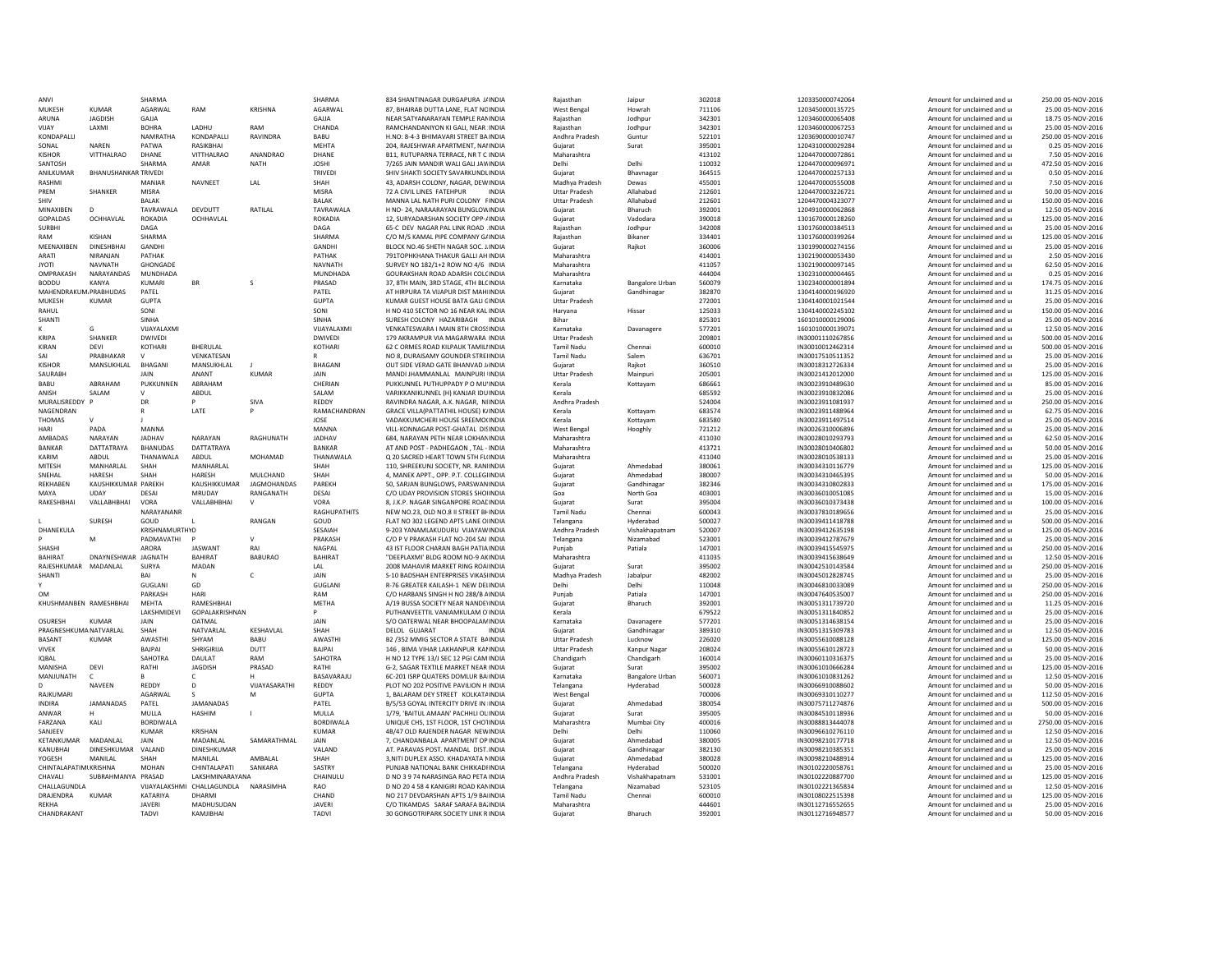| ANVI                             |                             | SHARMA                    |                                     |                    | SHARMA                | 834 SHANTINAGAR DURGAPURA J/INDIA                                               | Raiasthan                      | Jaipur                   | 302018           | 1203350000742064                     | Amount for unclaimed and u                               | 250.00 05-NOV-2016                       |
|----------------------------------|-----------------------------|---------------------------|-------------------------------------|--------------------|-----------------------|---------------------------------------------------------------------------------|--------------------------------|--------------------------|------------------|--------------------------------------|----------------------------------------------------------|------------------------------------------|
| <b>MUKESH</b>                    | <b>KUMAR</b>                | AGARWAL                   | RAM                                 | <b>KRISHNA</b>     | AGARWAL               | 87. BHAIRAB DUTTA LANE, FLAT NCINDIA                                            | West Bengal                    | Howrah                   | 711106           | 1203450000135725                     | Amount for unclaimed and u                               | 25.00 05-NOV-2016                        |
| ARUNA                            | <b>JAGDISH</b>              | GAJJA                     |                                     |                    | GAJJA                 | NEAR SATYANARAYAN TEMPLE RANINDIA                                               | Raiasthan                      | Jodhou                   | 342301           | 1203460000065408                     | Amount for unclaimed and u                               | 18.75 05-NOV-2016                        |
| VIJAY                            | LAXMI                       | <b>BOHRA</b>              | LADHU                               | RAM                | CHANDA                | RAMCHANDANIYON KI GALI, NEAR INDIA                                              | Rajasthan                      | Jodhpur                  | 342301           | 1203460000067253                     | Amount for unclaimed and u                               | 25.00 05-NOV-2016                        |
| KONDAPALLI                       |                             | NAMRATHA                  | <b>KONDAPALLI</b>                   | RAVINDRA           | <b>BABU</b>           | H.NO: 8-4-3 BHIMAVARI STREET BAINDIA                                            | Andhra Pradesh                 | Guntur                   | 522101           | 1203690000010747                     | Amount for unclaimed and u                               | 250.00 05-NOV-2016                       |
| SONAL                            | <b>NAREN</b>                | PATWA                     | RASIKBHAI                           |                    | MEHTA                 | 204. RAJESHWAR APARTMENT, NAHNDIA                                               | Guiarat                        | Surat                    | 395001           | 1204310000029284                     | Amount for unclaimed and u                               | 0.25 05-NOV-2016                         |
| KISHOR                           | VITTHAI RAO                 | DHANF                     | VITTHALRAO                          | ANANDRAO           | DHANF                 | B11, RUTUPARNA TERRACE, NR T C INDIA                                            | Maharashtra                    |                          | 413102           | 1204470000072861                     | Amount for unclaimed and u                               | 7.50 05-NOV-2016                         |
| SANTOSH                          |                             | SHARMA                    | AMAR                                | <b>NATH</b>        | <b>JOSHI</b>          | 7/265 JAIN MANDIR WALI GALI JAWINDIA                                            | Delhi                          | Delhi                    | 110032           | 1204470000096971                     | Amount for unclaimed and u                               | 472.50 05-NOV-2016                       |
| ANILKUMAR                        | <b>BHANUSHANKAR TRIVEDI</b> |                           |                                     |                    | TRIVED                | SHIV SHAKTI SOCIETY SAVARKUNDLINDIA                                             | Gujarat                        | Bhavnaga                 | 364515           | 1204470000257133                     | Amount for unclaimed and u                               | 0.50 05-NOV-2016                         |
| RASHMI                           |                             | MANIAR                    | NAVNEET                             | LAL                | SHAH                  | 43. ADARSH COLONY, NAGAR, DEWINDIA                                              | Madhya Pradesh                 | Dewas                    | 455001           | 1204470000555008                     | Amount for unclaimed and u                               | 7.50 05-NOV-2016                         |
| PREM                             | SHANKER                     | MISRA                     |                                     |                    | MISRA                 | 72 A CIVIL LINES FATEHPUR<br><b>INDIA</b>                                       | <b>Uttar Pradesh</b>           | Allahabad                | 212601           | 1204470003226721                     | Amount for unclaimed and u                               | 50.00 05-NOV-2016                        |
| SHIV                             |                             | <b>BALAK</b>              |                                     |                    | <b>BALAK</b>          | MANNA LAL NATH PURI COLONY FINDIA                                               | <b>Uttar Pradesh</b>           | Allahabad                | 212601           | 1204470004323077                     | Amount for unclaimed and u                               | 150.00 05-NOV-2016                       |
| MINAXIBEN                        | D                           | TAVRAWALA                 | DEVDUTT                             | RATILAL            | <b>TAVRAWALA</b>      | H NO- 24, NARAARAYAN BUNGLOWINDIA                                               | Gujarat                        | Bharuch                  | 392001           | 1204910000062868                     | Amount for unclaimed and u                               | 12.50 05-NOV-2016                        |
| <b>GOPALDAS</b>                  | OCHHAVLAL                   | ROKADIA                   | OCHHAVLAL                           |                    | ROKADIA               | 12. SURYADARSHAN SOCIETY OPP-/INDIA                                             | Guiarat                        | Vadodara                 | 390018           | 1301670000128260                     | Amount for unclaimed and u                               | 125.00.05-NOV-2016                       |
| <b>SURBHI</b>                    |                             | DAGA                      |                                     |                    | DAGA                  | 65-C DEV NAGAR PAL LINK ROAD .INDIA                                             | Raiasthan                      | Jodhour                  | 342008           | 1301760000384513                     | Amount for unclaimed and u                               | 25.00 05-NOV-2016                        |
| RAM                              | KISHAN                      | SHARMA                    |                                     |                    | SHARMA                | C/O M/S KAMAL PIPE COMPANY G/INDIA                                              | Raiasthan                      | Bikaner                  | 334401           | 1301760000399264                     | Amount for unclaimed and u                               | 125.00 05-NOV-2016                       |
| MEENAXIBEN                       | <b>DINESHBHAI</b>           | <b>GANDH</b>              |                                     |                    | <b>GANDH</b>          | BLOCK NO.46 SHETH NAGAR SOC. J. INDIA                                           | Gujarat                        | Rajkot                   | 360006           | 1301990000274156                     | Amount for unclaimed and u                               | 25.00 05-NOV-2016                        |
| ARATI                            | NIRANJAN                    | PATHAK                    |                                     |                    | PATHAK                | 791TOPHKHANA THAKUR GALLI AH INDIA                                              | Maharashtra                    |                          | 414001           | 1302190000053430                     | Amount for unclaimed and u                               | 2.50 05-NOV-2016                         |
| <b>IYOTI</b>                     | NAVNATH                     | <b>GHONGADI</b>           |                                     |                    | NAVNATH               | SURVEY NO 182/1+2 ROW NO 4/6 INDIA                                              | Maharashtra                    |                          | 411057           | 1302190000097145                     | Amount for unclaimed and u                               | 62.50 05-NOV-2016                        |
| OMPRAKASH                        | NARAYANDAS                  | MUNDHADA                  |                                     |                    | <b>MUNDHADA</b>       | GOURAKSHAN ROAD ADARSH COLCINDIA                                                | Maharashtra                    |                          | 444004           | 1302310000004465                     | Amount for unclaimed and u                               | 0.25 05-NOV-2016                         |
| <b>BODDU</b>                     | KANYA                       | <b>KUMAR</b>              | <b>BR</b>                           |                    | PRASAD                | 37, 8TH MAIN, 3RD STAGE, 4TH BLCINDIA                                           | Karnataka                      | <b>Bangalore Urban</b>   | 560079           | 1302340000001894                     | Amount for unclaimed and u                               | 174.75 05-NOV-2016                       |
| MAHENDRAK                        | <b>M.PRABHUDAS</b>          | PATEL                     |                                     |                    | PATEL                 | AT HIRPURA TA VIJAPUR DIST MAHIINDIA                                            | Gujarat                        | Gandhinaga               | 382870           | 1304140000196920                     | Amount for unclaimed and u                               | 31.25 05-NOV-2016                        |
| MUKESH                           | <b>KUMAR</b>                | GUPTA                     |                                     |                    | <b>GUPTA</b>          | KUMAR GUEST HOUSE BATA GALI CINDIA                                              | <b>Uttar Pradesh</b>           |                          | 272001           | 1304140001021544                     | Amount for unclaimed and u                               | 25.00.05-NOV-2016                        |
| RAHUL                            |                             | SONI                      |                                     |                    | SONI                  | H NO 410 SECTOR NO 16 NEAR KAL INDIA                                            | Haryana                        | Hissar                   | 125033           | 1304140002245102                     | Amount for unclaimed and u                               | 150.00 05-NOV-2016                       |
| SHANTI                           |                             | SINHA                     |                                     |                    | SINHA                 | SURESH COLONY HAZARIBAGH INDIA                                                  | <b>Bihar</b>                   |                          | 825301           | 1601010000129006                     | Amount for unclaimed and u                               | 25.00 05-NOV-2016                        |
|                                  | G                           | VIJAYALAXMI               |                                     |                    | VIJAYALAXM            | VENKATESWARA I MAIN 8TH CROSSINDIA                                              | Karnataka                      | Davanagere               | 577201           | 1601010000139071                     | Amount for unclaimed and u                               | 12.50 05-NOV-2016                        |
| <b>KRIPA</b>                     | SHANKER                     | <b>DWIVEDI</b>            |                                     |                    | <b>DWIVEDI</b>        | 179 AKRAMPUR VIA MAGARWARA INDIA                                                | <b>Uttar Pradesh</b>           |                          | 209801           | IN30001110267856                     | Amount for unclaimed and u                               | 500.00 05-NOV-2016                       |
| KIRAN                            | DFVI                        | <b>KOTHARI</b>            | <b>BHFRULAL</b>                     |                    | KOTHARI               | 62 C ORMES ROAD KILPAUK TAMILI INDIA                                            | Tamil Nadu                     | Chennai                  | 600010           | IN30010012462314                     | Amount for unclaimed and u                               | 500.00 05-NOV-2016                       |
| 541                              | PRABHAKAR                   |                           | VENKATESAN                          |                    |                       | NO 8. DURAISAMY GOUNDER STREIINDIA                                              | <b>Tamil Nadu</b>              | Salem                    | 636701           | IN30017510511352                     | Amount for unclaimed and u                               | 25.00 05-NOV-2016                        |
| <b>KISHOR</b>                    | MANSUKHLAL                  | BHAGANI                   | MANSUKHLAL                          |                    | BHAGANI               | OUT SIDE VERAD GATE BHANVAD J/INDIA                                             | Guiarat                        | Raikot                   | 360510           | IN30018312726334                     | Amount for unclaimed and u                               | 25.00 05-NOV-2016                        |
| SAURABH                          |                             |                           | ANANT                               | <b>KUMAR</b>       | <b>JAIN</b>           | MANDI JHAMMANLAL MAINPURI IINDIA                                                | <b>Uttar Pradesh</b>           | Mainpur                  | 205001           | IN30021412012000                     | Amount for unclaimed and u                               | 125.00 05-NOV-2016                       |
| <b>BABU</b>                      | ABRAHAM                     | PUKKUNNEN                 | ABRAHAM                             |                    | CHERIAN               | PUKKUNNEL PUTHUPPADY P O MU'INDIA                                               | Kerala                         | Kottayam                 | 686661           | IN30023910489630                     | Amount for unclaimed and u                               | 85.00.05-NOV-2016                        |
| ANISH                            | <b>SAI AM</b>               |                           | ABDUL                               |                    | SALAM                 | VARIKKANIKUNNEL (H) KANJAR IDUINDIA                                             | Kerala                         |                          | 685592           | IN30023910832086                     | Amount for unclaimed and u                               | 25.00.05-NOV-2016                        |
| MURALISREDDY                     |                             | DR                        |                                     | SIVA               | REDDY                 | RAVINDRA NAGAR, A.K. NAGAR, NIINDIA                                             | Andhra Pradesh                 |                          | 524004           | IN30023911081937                     | Amount for unclaimed and u                               | 250.00 05-NOV-2016                       |
| NAGENDRAM                        |                             |                           | LATE                                |                    | RAMACHANDRAN          | GRACE VILLA(PATTATHIL HOUSE) K/INDIA                                            | Kerala                         | Kottavam                 | 683574           | IN30023911488964                     | Amount for unclaimed and u                               | 62.75 05-NOV-2016                        |
| THOMAS                           |                             |                           |                                     |                    | JOSE                  | VADAKKUMCHERI HOUSE SREEMO(INDIA                                                | Kerala                         | Kottavan                 | 683580           | IN30023911497514                     | Amount for unclaimed and u                               | 25.00 05-NOV-2016                        |
| HARI                             | PADA                        | MANNA                     |                                     |                    | MANNA                 | VILL-KONNAGAR POST-GHATAL DISINDIA                                              | West Bengal                    | Hooghly                  | 721212           | IN30026310006896                     | Amount for unclaimed and u                               | 25.00 05-NOV-2016                        |
| AMBADAS                          | NARAYAN                     | <b>JADHAV</b>             | NARAYAN                             | RAGHUNATH          | <b>JADHAV</b>         | 684. NARAYAN PETH NEAR LOKHAN INDIA                                             | Maharashtra                    |                          | 411030           | IN30028010293793                     | Amount for unclaimed and u                               | 62.50 05-NOV-2016                        |
| <b>BANKAR</b><br>KARIM           | DATTATRAYA                  | BHANUDAS                  | DATTATRAYA                          | MOHAMAD            | <b>BANKAR</b>         | AT AND POST - PADHEGAON, TAL - INDIA                                            | Maharashtra                    |                          | 413721           | IN30028010406802                     | Amount for unclaimed and u                               | 50.00 05-NOV-2016                        |
|                                  | ABDUL                       | THANAWALA<br>SHAH         | ABDUL                               |                    | THANAWALA<br>SHAH     | Q 20 SACRED HEART TOWN 5TH FL(INDIA                                             | Maharashtra                    | Ahmedahar                | 411040           | IN30028010538133                     | Amount for unclaimed and u                               | 25.00 05-NOV-2016                        |
| MITESH<br>SNEHAL                 | MANHARLAL<br><b>HARFSH</b>  | SHAH                      | MANHARLAL<br>HARESH                 | MULCHAND           | SHAH                  | 110, SHREEKUNJ SOCIETY, NR. RANIINDIA<br>4. MANEK APPT., OPP. P.T. COLLEGIINDIA | Gujara                         |                          | 380061<br>380007 | IN30034310116779                     | Amount for unclaimed and u                               | 125.00 05-NOV-2016<br>50.00 05-NOV-2016  |
| <b>REKHAREN</b>                  | KAUSHIKKUMAR PAREKH         |                           | KAUSHIKKUMAR                        | <b>IAGMOHANDAS</b> | PARFKH                | 50, SARJAN BUNGLOWS, PARSWAN INDIA                                              | Gujarat<br>Guiarat             | Ahmedabad<br>Gandhinagar | 382346           | IN30034310465395<br>IN30034310802833 | Amount for unclaimed and u<br>Amount for unclaimed and u | 175.00 05-NOV-2016                       |
| MAYA                             | UDAY                        | DESAI                     | MRUDAY                              | RANGANATH          | DESAI                 | C/O UDAY PROVISION STORES SHOIINDIA                                             | Goa                            | North Goa                | 403001           | IN30036010051085                     |                                                          | 15.00 05-NOV-2016                        |
| RAKESHBHAI                       | VALLABHBHAI                 | VORA                      | VALLABHBHAI                         | $\vee$             | VORA                  | 8, J.K.P. NAGAR SINGANPORE ROACINDIA                                            | Guiarat                        | Surat                    | 395004           | IN30036010373438                     | Amount for unclaimed and u<br>Amount for unclaimed and u | 100.00 05-NOV-2016                       |
|                                  |                             | NARAYANANR                |                                     |                    | <b>RAGHUPATHITS</b>   | NEW NO.23, OLD NO.8 II STREET BHNDIA                                            | <b>Tamil Nadu</b>              | Chennai                  | 600043           | IN30037810189656                     | Amount for unclaimed and u                               | 25.00 05-NOV-2016                        |
|                                  | <b>SURFSH</b>               | GOUD                      |                                     | RANGAN             | GOUD                  | FLAT NO 302 LEGEND APTS LANE O INDIA                                            |                                | Hyderabad                | 500027           | IN30039411418788                     | Amount for unclaimed and u                               | 500.00 05-NOV-2016                       |
| DHANEKULA                        |                             | <b>KRISHNAMURTHYD</b>     |                                     |                    | SESAIAH               | 9-203 YANAMLAKUDURU VIJAYAWINDIA                                                | Telangana<br>Andhra Pradesh    | Vishakhapatnam           | 520007           | IN30039412635198                     | Amount for unclaimed and u                               | 125.00 05-NOV-2016                       |
|                                  |                             | PADMAVATHI                |                                     | $\vee$             | PRAKASH               | C/O P V PRAKASH FLAT NO-204 SAI INDIA                                           | Telangana                      | Nizamabad                | 523001           | IN30039412787679                     | Amount for unclaimed and u                               | 25.00 05-NOV-2016                        |
| <b>SHASHI</b>                    |                             | ARORA                     | <b>JASWANT</b>                      | RAI                | <b>NAGPAI</b>         | 43 IST FLOOR CHARAN BAGH PATIA INDIA                                            | Puniab                         | Patiala                  | 147001           | IN30039415545975                     |                                                          | 250.00 05-NOV-2016                       |
| <b>BAHIRAT</b>                   | DNAYNESHWAR JAGNATH         |                           | <b>BAHIRAT</b>                      | BABURAO            | <b>BAHIRAT</b>        | "DEEPLAXMI' BLDG ROOM NO-9 AKINDIA                                              |                                |                          |                  |                                      |                                                          |                                          |
| RAIFSHKUMAR                      | MADANI AI                   | SURYA                     | MADAN                               |                    |                       |                                                                                 |                                |                          |                  |                                      | Amount for unclaimed and u                               |                                          |
| SHANTI                           |                             | BAI                       |                                     |                    |                       |                                                                                 | Maharashtra                    |                          | 411035           | IN30039415638649                     | Amount for unclaimed and u                               | 12.50 05-NOV-2016                        |
|                                  |                             |                           |                                     |                    | 1 AI                  | 2008 MAHAVIR MARKET RING ROALINDIA                                              | Guiarat                        | Surat                    | 395002           | IN30042510143584                     | Amount for unclaimed and u                               | 250.00 05-NOV-2016                       |
| <b>OM</b>                        |                             |                           | N                                   |                    | <b>JAIN</b>           | S-10 BADSHAH ENTERPRISES VIKASIINDIA                                            | Madhya Pradesh                 | Jabalour                 | 482002           | IN30045012828745                     | Amount for unclaimed and u                               | 25.00 05-NOV-2016                        |
|                                  |                             | GUGLAN                    | GD                                  |                    | GUGLAN                | R-76 GREATER KAILASH-1 NEW DELINDIA                                             | Delh                           | Delhi                    | 110048           | IN30046810033089                     | Amount for unclaimed and u                               | 250.00 05-NOV-2016                       |
|                                  |                             | PARKASH                   | <b>HARI</b>                         |                    | RAM                   | C/O HARBANS SINGH H NO 288/B AINDIA                                             | Punjab                         | Patiala                  | 147001           | IN30047640535007                     | Amount for unclaimed and u                               | 250.00 05-NOV-2016                       |
|                                  | KHUSHMANREN RAMESHRHAI      | <b>MFHTA</b>              | <b>RAMFSHRHAI</b>                   |                    | MFTHA                 | A/19 BUSSA SOCIETY NEAR NANDEUNDIA                                              | Guiarat                        | Bharuch                  | 392001           | IN30051311739720                     | Amount for unclaimed and u                               | 11.25 05-NOV-2016                        |
|                                  |                             | LAKSHMIDEVI               | GOPALAKRISHNAN                      |                    |                       | PUTHANVEETTIL VANIAMKULAM O'INDIA                                               | Kerala                         |                          | 679522           | IN30051311840852                     | Amount for unclaimed and u                               | 25.00 05-NOV-2016                        |
| OSURESH                          | <b>KUMAR</b>                | JAIN                      | OATMAL                              |                    | <b>JAIN</b>           | S/O OATERWAL NEAR BHOOPALAN INDIA                                               | Karnataka                      | Davanagere               | 577201           | IN30051314638154                     | Amount for unclaimed and u                               | 25.00 05-NOV-2016                        |
| <b>PRAGNESHKUMA NATVARLAL</b>    |                             | SHAH                      | NATVARLAL                           | <b>KFSHAVLAL</b>   | SHAH                  | DELOL GUIARAT<br>INDIA                                                          | Gujarat                        | Gandhinaga               | 389310           | IN30051315309783                     | Amount for unclaimed and u                               | 12.50 05-NOV-2016                        |
| BASANT                           | <b>KUMAR</b>                | AWASTH                    | SHYAM                               | <b>BABU</b>        | AWASTH                | B2 /352 MMIG SECTOR A STATE BAINDIA                                             | <b>Uttar Pradesh</b>           | Lucknow                  | 226020           | IN30055610088128                     | Amount for unclaimed and u                               | 125.00 05-NOV-2016                       |
| <b>VIVFK</b>                     |                             | <b>BAIPAI</b>             | SHRIGIRIJA                          | <b>DUTT</b>        | <b>BAIPA</b>          | 146 BIMA VIHAR LAKHANPUR KANNDIA                                                | <b>Uttar Pradesh</b>           | Kanpur Nagar             | 208024           | IN30055610128723                     | Amount for unclaimed and u                               | 50.00 05-NOV-2016                        |
| <b>IQBAL</b>                     |                             | SAHOTRA                   | DAULAT                              | RAM                | SAHOTRA               | H NO 12 TYPE 13/J SEC 12 PGI CAM INDIA                                          | Chandigarh                     | Chandigarh               | 160014           | IN30060110316375                     | Amount for unclaimed and u                               | 25.00 05-NOV-2016                        |
| MANISHA                          | <b>DEVI</b>                 | RATHI                     | <b>JAGDISH</b>                      | PRASAD             | RATHI                 | G-2, SAGAR TEXTILE MARKET NEAR INDIA                                            | Gujarat                        | Surat                    | 395002           | IN30061010666284                     | Amount for unclaimed and u                               | 125.00 05-NOV-2016                       |
| MANJUNATH                        |                             |                           | c                                   |                    | BASAVARAJU            | 6C-201 ISRP QUATERS DOMLUR BA INDIA                                             | Karnataka                      | <b>Bangalore Urban</b>   | 560071           | IN30061010831262                     | Amount for unclaimed and u                               | 12.50 05-NOV-2016                        |
|                                  | <b>NAVFFN</b>               | REDDY                     | $\mathsf{D}$                        | VIIAYASARATHI      | REDDY                 | PLOT NO 202 POSITIVE PAVILION H INDIA                                           | Telangana                      | Hyderabad                | 500028           | IN30066910088602                     | Amount for unclaimed and u                               | 50.00 05-NOV-2016                        |
| RAJKUMARI                        |                             | AGARWAL                   |                                     | м                  | <b>GUPTA</b>          | 1, BALARAM DEY STREET KOLKATAINDIA                                              | West Bengal                    |                          | 700006           | IN30069310110277                     | Amount for unclaimed and u                               | 112.50 05-NOV-2016                       |
| <b>INDIRA</b><br>ANWAR           | JAMANADAS                   | PATEL<br>MULLA            | <b>JAMANADAS</b><br><b>HASHIM</b>   |                    | PATEL<br><b>MULLA</b> | B/5/53 GOYAL INTERCITY DRIVE IN INDIA<br>1/79. 'BAITUL AMAAN' PACHHLI OL INDIA  | Gujarat                        | Ahmedabad<br>Surat       | 380054<br>395005 | IN30075711274876<br>IN30084510118936 | Amount for unclaimed and u                               | 500.00 05-NOV-2016<br>50.00 05-NOV-2016  |
|                                  |                             |                           |                                     |                    | <b>BORDIWALA</b>      |                                                                                 | Gujarat                        |                          |                  |                                      | Amount for unclaimed and u                               |                                          |
| FARZANA<br>SANIFFV               | KALI                        | <b>BORDIWALA</b><br>KUMAR | KRISHAN                             |                    |                       | UNIQUE CHS. 1ST FLOOR, 1ST CHOTINDIA<br>4B/47 OLD RAIFNDER NAGAR NEWINDIA       | Maharashtra<br>Delhi           | Mumbai City<br>Delhi     | 400016<br>110060 | IN30088813444078<br>IN30096610276110 | Amount for unclaimed and u<br>Amount for unclaimed and u | 2750.00 05-NOV-2016<br>12.50 05-NOV-2016 |
| KETANKUMAR                       | MADANLAL                    | JAIN                      | MADANLAL                            | SAMARATHMAL        | <b>KUMAR</b><br>JAIN  | 7. CHANDANBALA APARTMENT OP INDIA                                               |                                | Ahmedabad                | 380005           | IN30098210177718                     |                                                          | 12.50 05-NOV-2016                        |
|                                  |                             |                           |                                     |                    |                       |                                                                                 | Gujarat                        |                          |                  |                                      | Amount for unclaimed and u                               |                                          |
| KANUBHAI                         | DINESHKUMAR VALAND          |                           | DINESHKUMAR                         |                    | VALAND                | AT. PARAVAS POST. MANDAL DIST.INDIA                                             | Guiarat                        | Gandhinaga               | 382130           | IN30098210385351                     | Amount for unclaimed and u                               | 25.00 05-NOV-2016                        |
| YOGESH<br>CHINTAI APATIMUKRISHNA | MANILAL                     | SHAH<br>MOHAN             | MANILAL<br>CHINTAI APAT             | AMBALAL<br>SANKARA | SHAH<br>SASTRY        | 3, NITI DUPLEX ASSO. KHADAYATA NINDIA<br>PUNJAB NATIONAL BANK CHIKKADI INDIA    | Gujarat<br>Telangana           | Ahmedabad<br>Hyderabad   | 380028<br>500020 | IN30098210488914<br>IN30102220058761 | Amount for unclaimed and u<br>Amount for unclaimed and u | 125.00 05-NOV-2016<br>25.00.05-NOV-2016  |
| CHAVALI                          | SUBRAHMANYA PRASAD          |                           | LAKSHMINARAYANA                     |                    | CHAINULL              |                                                                                 | Andhra Pradesh                 | Vishakhapatnam           |                  | IN30102220887700                     | Amount for unclaimed and u                               |                                          |
|                                  |                             |                           |                                     |                    |                       | D NO 3 9 74 NARASINGA RAO PETA INDIA                                            |                                |                          | 531001           |                                      |                                                          | 125.00 05-NOV-2016                       |
| CHALLAGUNDL<br>DRAJENDRA         | KUMAR                       | KATARIYA                  | VIJAYALAKSHMI CHALLAGUNDLA<br>DHARM | NARASIMHA          | <b>RAO</b><br>CHAND   | D NO 20 4 58 4 KANIGIRI ROAD KANINDIA                                           | Telangana<br><b>Tamil Nadu</b> | Nizamabad<br>Chennai     | 523105<br>600010 | IN30102221365834<br>IN30108022515398 | Amount for unclaimed and u<br>Amount for unclaimed and u | 12.50 05-NOV-2016                        |
| <b>RFKHA</b>                     |                             | <b>JAVERI</b>             | MADHUSUDAN                          |                    | <b>JAVER</b>          | NO 217 DEVDARSHAN APTS 1/9 BAIINDIA<br>C/O TIKAMDAS SARAF SARAFA BAJINDIA       | Maharashtra                    |                          | 444601           | IN30112716552655                     | Amount for unclaimed and u                               | 125.00 05-NOV-2016<br>25.00 05-NOV-2016  |
| CHANDRAKANT                      |                             | <b>TADVI</b>              | KAMIIRHAI                           |                    | TADVI                 | 30 GONGOTRIPARK SOCIETY LINK R INDIA                                            | Guiarat                        | <b>Bharuch</b>           | 392001           | IN30112716948577                     | Amount for unclaimed and u                               | 50.00 05-NOV-2016                        |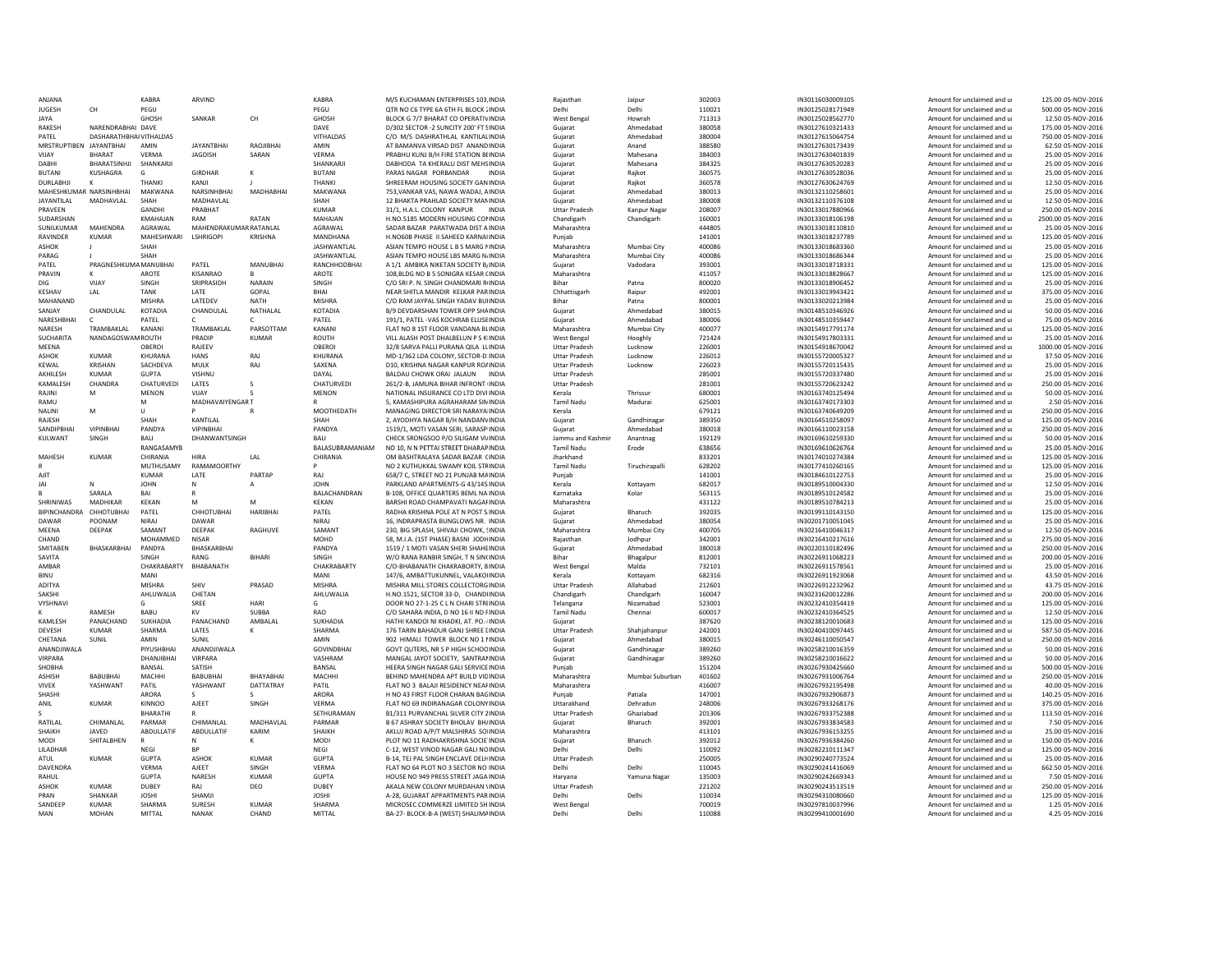| ANIANA                  |                         | KABRA            | ARVIND                  |                 | KABRA             | M/S KUCHAMAN ENTERPRISES 103 INDIA                                        | Raiasthan                   | Jaipur          | 302003           | IN30116030009105                     | Amount for unclaimed and u                               | 125.00.05-NOV-2016                   |
|-------------------------|-------------------------|------------------|-------------------------|-----------------|-------------------|---------------------------------------------------------------------------|-----------------------------|-----------------|------------------|--------------------------------------|----------------------------------------------------------|--------------------------------------|
| <b>IUGESH</b>           | CH                      | PFGU             |                         |                 | PEGU              | OTR NO C6 TYPE 6A 6TH ELBLOCK (INDIA                                      | Delhi                       | Delhi           | 110021           | IN30125028171949                     | Amount for unclaimed and u                               | 500.00 05-NOV-2016                   |
| JAYA                    |                         | <b>GHOSH</b>     | SANKAR                  | CH              | <b>GHOSK</b>      | BLOCK G 7/7 BHARAT CO OPERATIVINDIA                                       | <b>West Bengal</b>          | Howrah          | 711313           | IN30125028562770                     | Amount for unclaimed and u                               | 12.50 05-NOV-2016                    |
| RAKESH                  | NARFNDRABHAI DAVE       |                  |                         |                 | DAVE              | D/302 SECTOR -2 SUNCITY 200' FT SINDIA                                    | Gujarat                     | Ahmedabad       | 380058           | IN30127610321433                     | Amount for unclaimed and u                               | 175.00.05-NOV-2016                   |
| PATEL                   | DASHARATHBHAI VITHALDAS |                  |                         |                 | VITHALDAS         | C/O M/S DASHRATHLAL KANTILALINDIA                                         | Gujarat                     | Ahmedabad       | 380004           | IN30127615064754                     | Amount for unclaimed and u                               | 750.00 05-NOV-2016                   |
| MRSTRUPTIBEN IAYANTBHAI |                         | AMIN             | <b>JAYANTRHAI</b>       | RAOJIBHAI       | AMIN              | AT BAMANVA VIRSAD DIST ANANDINDIA                                         | Guiarat                     | Anand           | 388580           | IN30127630173439                     | Amount for unclaimed and u                               | 62.50.05-NOV-2016                    |
| VIJAY                   | <b>BHARAT</b>           | VERMA            | JAGDISH                 | SARAN           | VERMA             | PRABHU KUNJ B/H FIRE STATION BEINDIA                                      | Guiarat                     | Mahesana        | 384003           | IN30127630401839                     | Amount for unclaimed and u                               | 25.00 05-NOV-2016                    |
| DABHI                   | BHARATSINHJI            | SHANKARJ         |                         |                 | SHANKARJI         | DABHODA TA KHERALU DIST MEHSINDIA                                         | Gujarat                     | Mahesana        | 384325           | IN30127630520283                     | Amount for unclaimed and u                               | 25.00 05-NOV-2016                    |
| <b>BUTANI</b>           | <b>KUSHAGRA</b>         | G                | <b>GIRDHAR</b>          | к               | <b>BUTAN</b>      | PARAS NAGAR PORBANDAR<br>INDIA                                            | Gujarat                     | Rajkot          | 360575           | IN30127630528036                     | Amount for unclaimed and u                               | 25.00 05-NOV-2016                    |
| <b>DURLABHJI</b>        |                         | <b>THANKI</b>    | KANJI                   |                 | THANKI            | SHREERAM HOUSING SOCIETY GAN INDIA                                        | Gujarat                     | Rajkot          | 360578           | IN30127630624769                     | Amount for unclaimed and u                               | 12.50 05-NOV-2016                    |
| MAHESHKUMAR NARSINHBHAI |                         | MAKWANA          | NARSINHRHAI             | MADHARHAI       | MAKWANA           | 753 VANKAR VAS, NAWA WADAI, AINDIA                                        | Guiarat                     | Ahmedabad       | 380013           | IN30132110258601                     | Amount for unclaimed and u                               | 25.00.05-NOV-2016                    |
| <b>JAYANTILAL</b>       | MADHAVLAL               | SHAH             | MADHAVLAL               |                 | SHAH              | 12 BHAKTA PRAHLAD SOCIETY MANINDIA                                        | Gujarat                     | Ahmedabad       | 380008           | IN30132110376108                     | Amount for unclaimed and u                               | 12.50 05-NOV-2016                    |
| PRAVEEN                 |                         | GANDHI           | PRABHAT                 |                 | <b>KUMAR</b>      | 31/1, H.A.L. COLONY KANPUR<br><b>INDIA</b>                                | <b>Uttar Pradesh</b>        | Kanpur Naga     | 208007           | IN30133017880966                     | Amount for unclaimed and u                               | 250.00 05-NOV-2016                   |
| SUDARSHAN               |                         | <b>KMAHAJAN</b>  | RAM                     | RATAN           | MAHAJAN           | H.NO.5185 MODERN HOUSING CONNDIA                                          | Chandigarh                  | Chandigarh      | 160001           | IN30133018106198                     | Amount for unclaimed and u                               | 2500.00 05-NOV-2016                  |
| SUNILKUMAR              | MAHFNDRA                | AGRAWAI          | MAHENDRAKUMAR RATANI AI |                 | AGRAWAI           | SADAR BAZAR PARATWADA DIST A INDIA                                        | Maharashtra                 |                 | 444805           | IN30133018110810                     | Amount for unclaimed and u                               | 25.00.05-NOV-2016                    |
| RAVINDER                | <b>KUMAR</b>            | MAHESHWARI       | <b>LSHRIGOPI</b>        | KRISHNA         | MANDHANA          | H.NO60B PHASE II SAHEED KARNAIINDIA                                       | Puniab                      |                 | 141001           | IN30133018237789                     | Amount for unclaimed and u                               | 125.00 05-NOV-2016                   |
| <b>ASHOK</b>            |                         | SHAH             |                         |                 | JASHWANTLAL       | ASIAN TEMPO HOUSE L B S MARG NNDIA                                        | Maharashtra                 | Mumbai City     | 400086           | IN30133018683360                     | Amount for unclaimed and u                               | 25.00 05-NOV-2016                    |
| PARAG                   |                         | SHAH             |                         |                 | JASHWANTLAL       | ASIAN TEMPO HOUSE LBS MARG N/INDIA                                        | Maharashtra                 | Mumbai City     | 400086           | IN30133018686344                     | Amount for unclaimed and u                               | 25.00 05-NOV-2016                    |
| PATEL                   | PRAGNESHKUMA MANUBHAI   |                  | PATEL                   | MANUBHAI        | RANCHHODBHAI      | A 1/1 AMBIKA NIKETAN SOCIETY BJ NDIA                                      | Gujarat                     | Vadodara        | 393001           | IN30133018718331                     | Amount for unclaimed and u                               | 125.00 05-NOV-2016                   |
| PRAVIN                  |                         | AROTE            | KISANRAO                | Ŕ.              | AROTE             | 108.BLDG NO B 5 SONIGRA KESAR (INDIA                                      | Maharashtra                 |                 | 411057           | IN30133018828667                     | Amount for unclaimed and u                               | 125.00 05-NOV-2016                   |
| DIG                     | VIJAY                   | SINGH            | SRIPRASIDH              | NARAIN          | SINGH             | C/O SRI P. N. SINGH CHANDMARI RINDIA                                      | Bihar                       | Patna           | 800020           | IN30133018906452                     | Amount for unclaimed and u                               | 25.00 05-NOV-2016                    |
| KESHAV                  | LAL                     | <b>TANK</b>      | LATE                    | GOPAL           | <b>BHAI</b>       | NEAR SHITLA MANDIR KELKAR PARINDIA                                        | Chhattisgarh                | Raipur          | 492001           | IN30133019943421                     | Amount for unclaimed and u                               | 375.00 05-NOV-2016                   |
| MAHANAND                |                         | <b>MISHRA</b>    | LATEDEV                 | NATH            | MISHRA            | C/O RAM JAYPAL SINGH YADAV BUIINDIA                                       | Biha                        | Patna           | 800001           | IN30133020213984                     | Amount for unclaimed and u                               | 25.00 05-NOV-2016                    |
| SANJAY                  | CHANDULAL               | KOTADIA          | CHANDULAL               | NATHALAL        | KOTADIA           | B/9 DEVDARSHAN TOWER OPP SHAINDIA                                         | Gujarat                     | Ahmedabad       | 380015           | IN30148510346926                     | Amount for unclaimed and u                               | 50.00 05-NOV-2016                    |
| NARFSHRHAI              | $\epsilon$              | PATFI            | C.                      | C.              | PATFI             | 191/1. PATEL-VAS KOCHRAB ELLISEINDIA                                      | Guiarat                     | Ahmedabad       | 380006           | IN30148510359447                     | Amount for unclaimed and u                               | 75.00 05-NOV-2016                    |
| NARESH                  | TRAMBAKLAL              | KANANI           | TRAMBAKLAL              | PARSOTTAM       | KANANI            | FLAT NO 8 1ST FLOOR VANDANA BLINDIA                                       | Maharashtra                 | Mumbai City     | 400077           | IN30154917791174                     | Amount for unclaimed and u                               | 125.00 05-NOV-2016                   |
| SUCHARITA               | NANDAGOSWAMROUTH        |                  | PRADIP                  | <b>KUMAR</b>    | ROUTH             | VILL ALASH POST DHALBELUN P S K INDIA                                     | West Bengal                 | Hooghly         | 721424           | IN30154917803331                     | Amount for unclaimed and u                               | 25.00 05-NOV-2016                    |
| MEENA                   |                         | OBEROI           | RAJEEV                  |                 | OBERO             | 32/8 SARVA PALLI PURANA QILA LUNDIA                                       | <b>Uttar Pradesh</b>        | Lucknow         | 226001           | IN30154918670042                     | Amount for unclaimed and u                               | 1000.00 05-NOV-2016                  |
| <b>ASHOK</b>            | <b>KUMAR</b>            | KHURANA          | <b>HANS</b>             | RAJ             | KHURANA           | MD-1/362 LDA COLONY, SECTOR-D INDIA                                       | <b>Uttar Pradesh</b>        | Lucknow         | 226012           | IN30155720005327                     | Amount for unclaimed and u                               | 37.50 05-NOV-2016                    |
| KFWAI                   | <b>KRISHAN</b>          | SACHDEVA         | MULK                    | RAJ             | SAXENA            | D10, KRISHNA NAGAR KANPUR RO/INDIA                                        | <b>Uttar Pradesh</b>        | Lucknow         | 226023           | IN30155720115435                     | Amount for unclaimed and u                               | 25.00 05-NOV-2016                    |
| AKHILESH                | KUMAR                   | <b>GUPTA</b>     | VISHNU                  |                 | DAYAL             | BALDAU CHOWK ORAI JALAUN INDIA                                            | <b>Uttar Pradesh</b>        |                 | 285001           | IN30155720337480                     | Amount for unclaimed and u                               | 25.00 05-NOV-2016                    |
| KAMALESH                | CHANDRA                 | CHATURVEDI       | LATES                   |                 | CHATURVEDI        | 261/2-B. JAMUNA BIHAR INFRONT INDIA                                       | <b>Uttar Pradesh</b>        |                 | 281001           | IN30155720623242                     | Amount for unclaimed and u                               | 250.00 05-NOV-2016                   |
| RAJINI                  | M                       | <b>MENON</b>     | VIIAY                   |                 | <b>MENON</b>      | NATIONAL INSURANCE CO LTD DIVI INDIA                                      | Kerala                      | Thrissu         | 680001           | IN30163740125494                     | Amount for unclaimed and u                               | 50.00 05-NOV-2016                    |
| RAMU                    |                         | M                | MADHAVAIYENGAR T        |                 |                   | 5. KAMASHIPURA AGRAHARAM SININDIA                                         | <b>Tamil Nadu</b>           | Madurai         | 625001           | IN30163740173303                     | Amount for unclaimed and u                               | 2.50 05-NOV-2016                     |
| <b>NAINI</b>            | M                       | $\mathbf{H}$     | P                       |                 | MOOTHFDATH        | MANAGING DIRECTOR SRI NARAYA INDIA                                        | Kerala                      |                 | 679121           | IN30163740649209                     | Amount for unclaimed and u                               | 250.00 05-NOV-2016                   |
| RAJESH                  |                         | SHAH             | KANTILAL                |                 | SHAH              | 2, AYODHYA NAGAR B/H NANDANVINDIA                                         | Guiarat                     | Gandhinagar     | 389350           | IN30164510258097                     | Amount for unclaimed and u                               | 125.00 05-NOV-2016                   |
| SANDIPBHAI              | VIPINBHAI               | PANDYA           | <b>VIPINBHAI</b>        |                 | PANDYA            | 1519/1, MOTI VASAN SERI, SARASP INDIA                                     | Guiarat                     | Ahmedabad       | 380018           | IN30166110023158                     | Amount for unclaimed and u                               | 250.00 05-NOV-2016                   |
| KULWANT                 | SINGH                   | BALI             | DHANWANTSINGH           |                 | BALI              | CHECK SRONGSOO P/O SILIGAM VI/INDIA                                       | Jammu and Kashmir           | Anantnag        | 192129           | IN30169610259330                     | Amount for unclaimed and u                               | 50.00 05-NOV-2016                    |
|                         |                         | RANGASAMYE       |                         |                 | BALASUBRAMANIAM   | NO 10. N N PETTAI STREET DHARAP INDIA                                     | <b>Tamil Nadu</b>           | Erode           | 638656           | IN30169610626764                     | Amount for unclaimed and u                               | 25.00 05-NOV-2016                    |
| MAHESH                  | <b>KUMAR</b>            | CHIRANIA         | <b>HIRA</b>             | LAL             | CHIRANIA          | OM BASHTRALAYA SADAR BAZAR (INDIA                                         | Jharkhand                   |                 | 833201           | IN30174010274384                     | Amount for unclaimed and u                               | 125.00 05-NOV-2016                   |
|                         |                         | MUTHUSAMY        | RAMAMOORTHY             |                 | P                 | NO 2 KUTHUKKAL SWAMY KOIL STFINDIA                                        | <b>Tamil Nadu</b>           | Tiruchirapalli  | 628202           | IN30177410260165                     | Amount for unclaimed and u                               | 125.00 05-NOV-2016                   |
| AJIT                    |                         | <b>KUMAR</b>     | LATE                    | PARTAF          | RAJ               | 658/7 C. STREET NO 21 PUNJAB MAINDIA                                      | Puniab                      |                 | 141001           | IN30184610122753                     | Amount for unclaimed and u                               | 25.00 05-NOV-2016                    |
| IAI                     |                         |                  |                         |                 |                   |                                                                           |                             |                 |                  |                                      |                                                          |                                      |
|                         | N                       | <b>JOHN</b>      | N                       |                 | <b>JOHN</b>       | PARKLAND APARTMENTS-G 43/145 INDIA                                        | Kerala                      | Kottayam        | 682017           | IN30189510004330                     | Amount for unclaimed and u                               | 12.50 05-NOV-2016                    |
|                         | <b>SARALA</b>           | BAI              |                         |                 | BALACHANDRAN      | B-108, OFFICE QUARTERS BEML NA INDIA                                      | Karnataka                   | Kolar           | 563115           | IN30189510124582                     | Amount for unclaimed and u                               | 25.00 05-NOV-2016                    |
| SHRINIWAS               | MADHIKAR                | KFKAN            | M                       | M               | <b>KFKAN</b>      | BARSHI ROAD CHAMPAVATI NAGAHNDIA                                          | Maharashtra                 |                 | 431122           | IN30189510784213                     | Amount for unclaimed and u                               | 25.00.05-NOV-2016                    |
| <b>BIPINCHANDRA</b>     | CHHOTUBHAI              | PATEL            | CHHOTUBHAI              | <b>HARIBHA</b>  | PATEL             | RADHA KRISHNA POLE AT N POST S INDIA                                      | Gujarat                     | Bharuch         | 392035           | IN30199110143150                     | Amount for unclaimed and u                               | 125.00 05-NOV-2016                   |
| DAWAR                   | POONAM                  | NIRAJ            | DAWAR                   |                 | <b>NIRAJ</b>      | 16, INDRAPRASTA BUNGLOWS NR. INDIA                                        | Guiarat                     | Ahmedabad       | 380054           | IN30201710051045                     | Amount for unclaimed and u                               | 25.00 05-NOV-2016                    |
| MEENA                   | DEEPAK                  | SAMANT           | DEEPAK                  | RAGHUVE         | SAMANT            | 230, BIG SPLASH, SHIVAJI CHOWK, !INDIA                                    | Maharashtra                 | Mumbai City     | 400705           | IN30216410046317                     | Amount for unclaimed and u                               | 12.50 05-NOV-2016                    |
| CHAND                   |                         | MOHAMMED         | <b>NISAR</b>            |                 | <b>MOHD</b>       | 58, M.I.A. (1ST PHASE) BASNI JODHINDIA                                    | Raiasthan                   | Jodhour         | 342001           | IN30216410217616                     | Amount for unclaimed and u                               | 275.00 05-NOV-2016                   |
| SMITABEN                | BHASKARBHAI             | PANDYA           | BHASKARBHAI             |                 | PANDYA            | 1519 / 1 MOTI VASAN SHERI SHAHEINDIA                                      | Guiarat                     | Ahmedabad       | 380018           | IN30220110182496                     | Amount for unclaimed and u                               | 250.00 05-NOV-2016                   |
| SAVITA                  |                         | SINGH            | RANG                    | <b>BIHAR</b>    | SINGH             | W/O RANA RANBIR SINGH, T N SIN(INDIA                                      | <b>Bihar</b>                | Bhagalpur       | 812001           | IN30226911068223                     | Amount for unclaimed and u                               | 200.00 05-NOV-2016                   |
| AMBAR                   |                         | CHAKRABARTY      | BHABANATH               |                 | CHAKRABARTY       | C/O-BHABANATH CHAKRABORTY, 8 INDIA                                        | <b>West Bengal</b>          | Malda           | 732101           | IN30226911578561                     | Amount for unclaimed and u                               | 25.00 05-NOV-2016                    |
| <b>BINU</b>             |                         | MANI             |                         |                 | MANI              | 147/6. AMBATTUKUNNEL, VALAKOIINDIA                                        | Kerala                      | Kottayam        | 682316           | IN30226911923068                     | Amount for unclaimed and u                               | 43.50 05-NOV-2016                    |
| <b>ADITYA</b>           |                         | MISHRA           | SHIV                    | PRASAD          | MISHRA            | MISHRA MILL STORES COLLECTORG INDIA                                       | <b>Uttar Pradesh</b>        | Allahahad       | 212601           | IN30226912232962                     | Amount for unclaimed and u                               | 43.75 05-NOV-2016                    |
| SAKSHI                  |                         | AHLUWALIA        | CHFTAN                  |                 | AHLUWALIA         | H.NO.1521, SECTOR 33-D. CHANDUNDIA                                        | Chandigarh                  | Chandigarh      | 160047           | IN30231620012286                     | Amount for unclaimed and u                               | 200.00 05-NOV-2016                   |
| VYSHNAVI                |                         |                  | SREE                    | HARI            | G                 | DOOR NO 27-1-25 C L N CHARI STRIINDIA                                     | Telangana                   | Nizamabad       | 523001           | IN30232410354419                     | Amount for unclaimed and u                               | 125.00 05-NOV-2016                   |
|                         | RAMESH                  | BABU             | KV                      | SUBBA           | <b>RAO</b>        | C/O SAHARA INDIA, D NO 16 II ND FINDIA                                    | <b>Tamil Nadu</b>           | Chennai         | 600017           | IN30232410364525                     | Amount for unclaimed and u                               | 12.50 05-NOV-2016                    |
| KAMLESH                 | PANACHAND               | SUKHADIA         | PANACHAND               | AMBALAL         | <b>SUKHADIA</b>   | HATHI KANDOI NI KHADKI, AT. PO.- INDIA                                    | Gujarat                     |                 | 387620           | IN30238120010683                     | Amount for unclaimed and u                               | 125.00 05-NOV-2016                   |
| <b>DEVESH</b>           | KUMAR                   | SHARMA           | <b>LATES</b>            | ĸ               | SHARMA            | 176 TARIN BAHADUR GANI SHREE LINDIA                                       | <b>Uttar Pradesh</b>        | Shahiahannur    | 242001           | IN30240410097445                     | Amount for unclaimed and u                               | 587.50 05-NOV-2016                   |
| CHETANA                 | SUNIL                   | AMIN             | SUNIL                   |                 | AMIN              | 902 HIMALI TOWER BLOCK NO 1 NNDIA                                         | Guiarat                     | Ahmedabad       | 380015           | IN30246110050547                     | Amount for unclaimed and u                               | 250.00 05-NOV-2016                   |
| ANANDIIWAI A            |                         | PIYUSHBHAI       | ANANDJIWALA             |                 | <b>GOVINDBHAI</b> | GOVT OUTERS, NR S P HIGH SCHOOINDIA                                       | Guiarat                     | Gandhinagar     | 389260           | IN30258210016359                     | Amount for unclaimed and u                               | 50.00 05-NOV-2016                    |
| <b>VIRPARA</b>          |                         | DHANJIBHAI       | VIRPARA                 |                 | VASHRAM           | MANGAL JAYOT SOCIETY, SANTRANNDIA                                         | Gujarat                     | Gandhinagar     | 389260           | IN30258210016622                     | Amount for unclaimed and u                               | 50.00 05-NOV-2016                    |
| SHOBHA                  |                         | <b>BANSAL</b>    | SATISH                  |                 | <b>BANSAL</b>     | HEERA SINGH NAGAR GALL SERVICE INDIA                                      | Puniab                      |                 | 151204           | IN30267930425660                     | Amount for unclaimed and u                               | 500.00 05-NOV-2016                   |
| <b>ASHISH</b>           | <b>BABURHAL</b>         | MACHHI           | <b>BABUBHAI</b>         | <b>BHAYABHA</b> | <b>MACHHI</b>     | BEHIND MAHENDRA APT BUILD VIDINDIA                                        | Maharashtra                 | Mumbai Suburban | 401602           | IN30267931006764                     | Amount for unclaimed and u                               | 250.00 05-NOV-2016                   |
| <b>VIVEK</b>            | YASHWANT                | PATIL            | YASHWANT                | DATTATRAY       | PATIL             | FLAT NO 3 BALAJI RESIDENCY NEAFINDIA                                      | Maharashtra                 |                 | 416007           | IN30267932195498                     | Amount for unclaimed and u                               | 40.00 05-NOV-2016                    |
| SHASH                   |                         | ARORA            | s                       | s.              | ARORA             | H NO 43 FIRST FLOOR CHARAN BAGINDIA                                       | Punjab                      | Patiala         | 147001           | IN30267932906873                     | Amount for unclaimed and u                               | 140.25 05-NOV-2016                   |
| ANIL                    | <b>KUMAR</b>            | <b>KINNOO</b>    | AJEET                   | SINGH           | VERMA             | FLAT NO 69 INDIRANAGAR COLONY INDIA                                       | Uttarakhand                 | Dehradun        | 248006           | IN30267933268176                     | Amount for unclaimed and u                               | 375.00 05-NOV-2016                   |
|                         |                         | <b>BHARATHI</b>  |                         |                 | SETHURAMAN        | B1/311 PURVANCHAL SILVER CITY 2INDIA                                      | <b>Uttar Pradesh</b>        | Ghaziabad       | 201306           | IN30267933752388                     | Amount for unclaimed and u                               | 113.50 05-NOV-2016                   |
| <b>RATILAI</b>          | CHIMANI AI              | PARMAR           | CHIMANI AI              | MADHAVI AI      | PARMAR            | B 67 ASHRAY SOCIETY BHOLAV BH/INDIA                                       | Guiarat                     | Bharuch         | 392001           | IN30267933834583                     | Amount for unclaimed and u                               | 7.50 05-NOV-2016                     |
| SHAIKH                  | <b>IAVED</b>            | ABDULLATIF       | ABDULLATIF              | KARIM           | SHAIKH            | AKLUJ ROAD A/P/T MALSHIRAS SOIINDIA                                       | Maharashtra                 |                 | 413101           | IN30267936153255                     | Amount for unclaimed and u                               | 25.00 05-NOV-2016                    |
| MODI                    | SHITALBHEN              |                  |                         |                 | MODI              | PLOT NO 11 RADHAKRISHNA SOCIE INDIA                                       | Guiarat                     | Bharuch         | 392012           | IN30267936384260                     | Amount for unclaimed and u                               | 150.00 05-NOV-2016                   |
| LILADHAR                |                         | <b>NEGI</b>      | <b>BP</b>               |                 | <b>NEGI</b>       | C-12. WEST VINOD NAGAR GALI NOINDIA                                       | Delhi                       | Delhi           | 110092           | IN30282210111347                     | Amount for unclaimed and u                               | 125.00 05-NOV-2016                   |
| ATUL                    | <b>KUMAR</b>            | <b>GUPTA</b>     | ASHOK                   | KIIMAR          | GUPTA             | <b>B-14. TELPAL SINGH ENCLAVE DELHINDIA</b>                               | <b>Uttar Pradesh</b>        |                 | 250005           | IN30290240773524                     | Amount for unclaimed and u                               | 25.00.05-NOV-2016                    |
| DAVENDRA                |                         | VERMA            | AJEET                   | SINGH           | VERMA             | FLAT NO 64 PLOT NO 3 SECTOR NO INDIA                                      | Delhi                       | Delhi           | 110045           | IN30290241416069                     | Amount for unclaimed and u                               | 662.50 05-NOV-2016                   |
| RAHUI                   |                         | <b>GUPTA</b>     | NARFSH                  | KUMAR           | GUPTA             | HOUSE NO 949 PRESS STREET JAGA INDIA                                      | Harvana                     | Yamuna Nagar    | 135003           | IN30290242669343                     | Amount for unclaimed and u                               | 7.50 05-NOV-2016                     |
| ASHOK                   | <b>KUMAR</b>            | DUBEY            | RAJ                     | DEO             | DUBEY             | AKALA NEW COLONY MURDAHAN \INDIA                                          | <b>Uttar Pradesh</b>        |                 | 221202           | IN30290243513519                     | Amount for unclaimed and u                               | 250.00 05-NOV-2016                   |
| PRAN                    | SHANKAR                 | <b>JOSHI</b>     | SHAMJI                  |                 | <b>JOSHI</b>      | A-28, GUJARAT APPARTMENTS PAR INDIA                                       | Delhi                       | Delhi           | 110034           | IN30294310080660                     | Amount for unclaimed and u                               | 125.00 05-NOV-2016                   |
| SANDEER<br>MAN          | KUMAR<br>MOHAN          | SHARMA<br>MITTAI | <b>SURFSH</b><br>NANAK  | KUMAR<br>CHAND  | SHARMA<br>MITTAI  | MICROSEC COMMERZE LIMITED SHINDIA<br>BA-27- BLOCK-B-A (WEST) SHALIMAINDIA | <b>West Bengal</b><br>Delhi | Delhi           | 700019<br>110088 | IN30297810037996<br>IN30299410001690 | Amount for unclaimed and u<br>Amount for unclaimed and u | 1.25 05-NOV-2016<br>4.25 05-NOV-2016 |